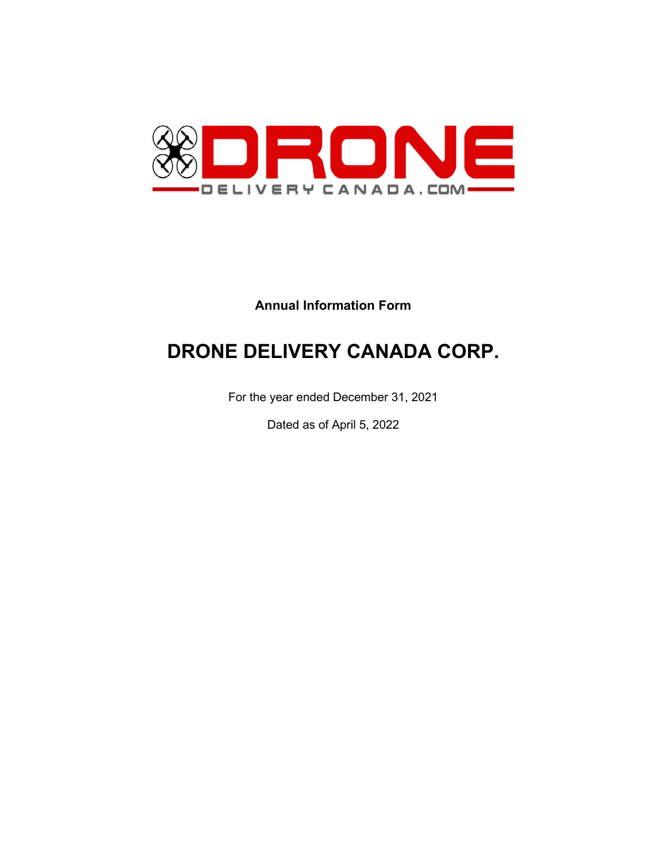

# **Annual Information Form**

# **DRONE DELIVERY CANADA CORP.**

For the year ended December 31, 2021

Dated as of April 5, 2022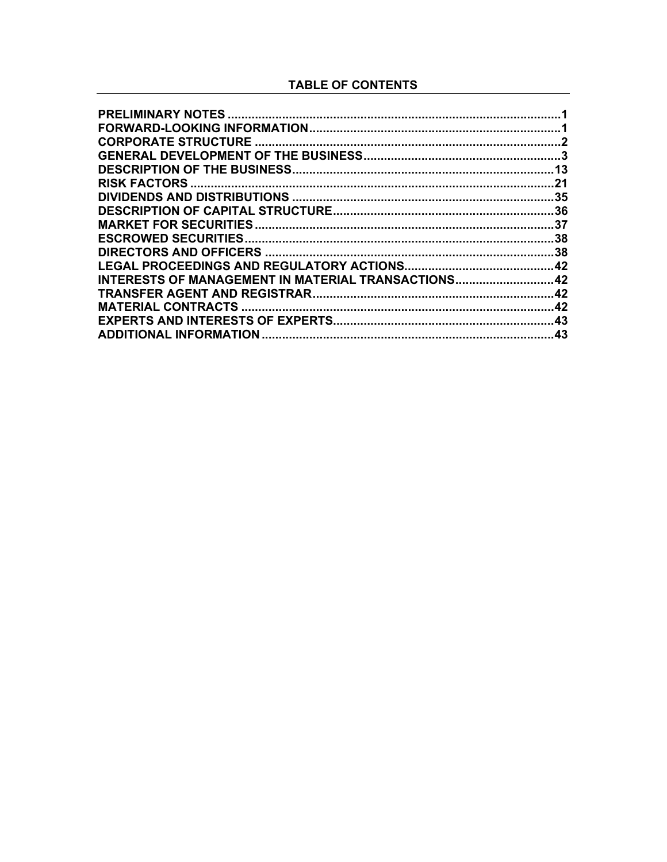## **TABLE OF CONTENTS**

|                                                    | .21 |
|----------------------------------------------------|-----|
|                                                    |     |
|                                                    |     |
|                                                    |     |
| <b>ESCROWED SECURITIES.</b>                        |     |
|                                                    |     |
|                                                    |     |
| INTERESTS OF MANAGEMENT IN MATERIAL TRANSACTIONS42 |     |
|                                                    |     |
| <b>MATERIAL CONTRACTS</b>                          | .42 |
|                                                    | .43 |
|                                                    | .43 |
|                                                    |     |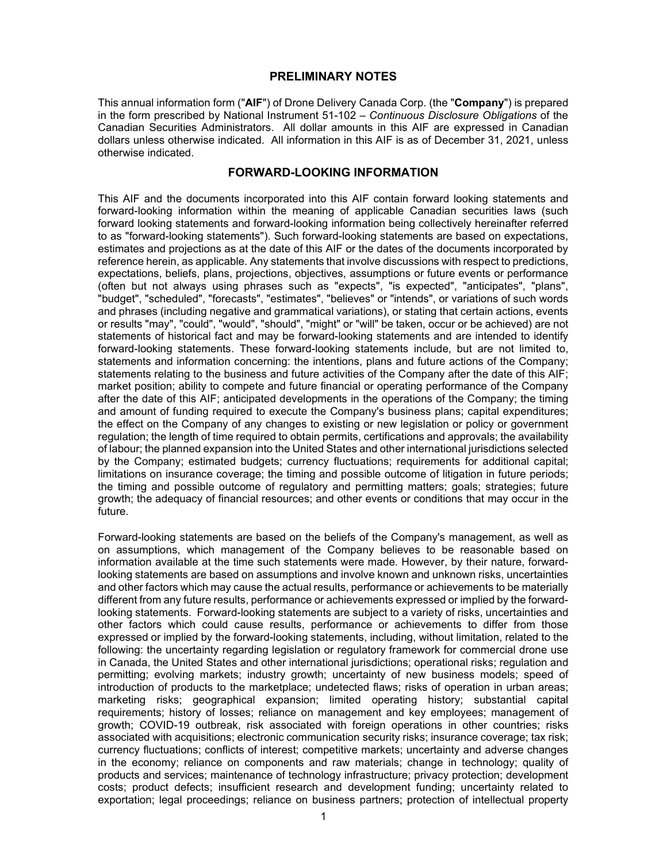## **PRELIMINARY NOTES**

This annual information form ("**AIF**") of Drone Delivery Canada Corp. (the "**Company**") is prepared in the form prescribed by National Instrument 51-102 – *Continuous Disclosure Obligations* of the Canadian Securities Administrators. All dollar amounts in this AIF are expressed in Canadian dollars unless otherwise indicated. All information in this AIF is as of December 31, 2021, unless otherwise indicated.

## **FORWARD-LOOKING INFORMATION**

This AIF and the documents incorporated into this AIF contain forward looking statements and forward-looking information within the meaning of applicable Canadian securities laws (such forward looking statements and forward-looking information being collectively hereinafter referred to as "forward-looking statements"). Such forward-looking statements are based on expectations, estimates and projections as at the date of this AIF or the dates of the documents incorporated by reference herein, as applicable. Any statements that involve discussions with respect to predictions, expectations, beliefs, plans, projections, objectives, assumptions or future events or performance (often but not always using phrases such as "expects", "is expected", "anticipates", "plans", "budget", "scheduled", "forecasts", "estimates", "believes" or "intends", or variations of such words and phrases (including negative and grammatical variations), or stating that certain actions, events or results "may", "could", "would", "should", "might" or "will" be taken, occur or be achieved) are not statements of historical fact and may be forward-looking statements and are intended to identify forward-looking statements. These forward-looking statements include, but are not limited to, statements and information concerning: the intentions, plans and future actions of the Company; statements relating to the business and future activities of the Company after the date of this AIF; market position; ability to compete and future financial or operating performance of the Company after the date of this AIF; anticipated developments in the operations of the Company; the timing and amount of funding required to execute the Company's business plans; capital expenditures; the effect on the Company of any changes to existing or new legislation or policy or government regulation; the length of time required to obtain permits, certifications and approvals; the availability of labour; the planned expansion into the United States and other international jurisdictions selected by the Company; estimated budgets; currency fluctuations; requirements for additional capital; limitations on insurance coverage; the timing and possible outcome of litigation in future periods; the timing and possible outcome of regulatory and permitting matters; goals; strategies; future growth; the adequacy of financial resources; and other events or conditions that may occur in the future.

Forward-looking statements are based on the beliefs of the Company's management, as well as on assumptions, which management of the Company believes to be reasonable based on information available at the time such statements were made. However, by their nature, forwardlooking statements are based on assumptions and involve known and unknown risks, uncertainties and other factors which may cause the actual results, performance or achievements to be materially different from any future results, performance or achievements expressed or implied by the forwardlooking statements. Forward-looking statements are subject to a variety of risks, uncertainties and other factors which could cause results, performance or achievements to differ from those expressed or implied by the forward-looking statements, including, without limitation, related to the following: the uncertainty regarding legislation or regulatory framework for commercial drone use in Canada, the United States and other international jurisdictions; operational risks; regulation and permitting; evolving markets; industry growth; uncertainty of new business models; speed of introduction of products to the marketplace; undetected flaws; risks of operation in urban areas; marketing risks; geographical expansion; limited operating history; substantial capital requirements; history of losses; reliance on management and key employees; management of growth; COVID-19 outbreak, risk associated with foreign operations in other countries; risks associated with acquisitions; electronic communication security risks; insurance coverage; tax risk; currency fluctuations; conflicts of interest; competitive markets; uncertainty and adverse changes in the economy; reliance on components and raw materials; change in technology; quality of products and services; maintenance of technology infrastructure; privacy protection; development costs; product defects; insufficient research and development funding; uncertainty related to exportation; legal proceedings; reliance on business partners; protection of intellectual property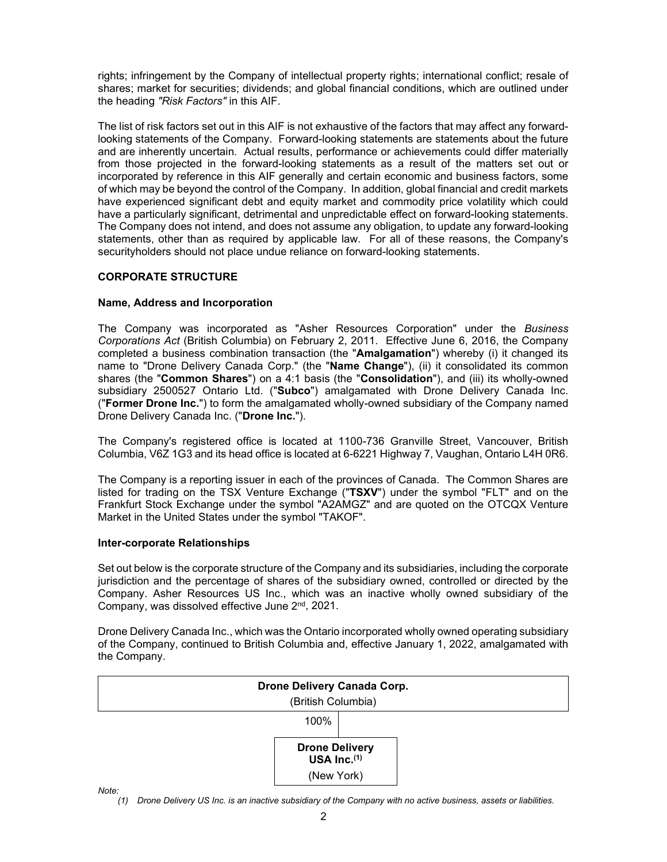rights; infringement by the Company of intellectual property rights; international conflict; resale of shares; market for securities; dividends; and global financial conditions, which are outlined under the heading *"Risk Factors"* in this AIF.

The list of risk factors set out in this AIF is not exhaustive of the factors that may affect any forwardlooking statements of the Company. Forward-looking statements are statements about the future and are inherently uncertain. Actual results, performance or achievements could differ materially from those projected in the forward-looking statements as a result of the matters set out or incorporated by reference in this AIF generally and certain economic and business factors, some of which may be beyond the control of the Company. In addition, global financial and credit markets have experienced significant debt and equity market and commodity price volatility which could have a particularly significant, detrimental and unpredictable effect on forward-looking statements. The Company does not intend, and does not assume any obligation, to update any forward-looking statements, other than as required by applicable law. For all of these reasons, the Company's securityholders should not place undue reliance on forward-looking statements.

## **CORPORATE STRUCTURE**

## **Name, Address and Incorporation**

The Company was incorporated as "Asher Resources Corporation" under the *Business Corporations Act* (British Columbia) on February 2, 2011. Effective June 6, 2016, the Company completed a business combination transaction (the "**Amalgamation**") whereby (i) it changed its name to "Drone Delivery Canada Corp." (the "**Name Change**"), (ii) it consolidated its common shares (the "**Common Shares**") on a 4:1 basis (the "**Consolidation**"), and (iii) its wholly-owned subsidiary 2500527 Ontario Ltd. ("**Subco**") amalgamated with Drone Delivery Canada Inc. ("**Former Drone Inc.**") to form the amalgamated wholly-owned subsidiary of the Company named Drone Delivery Canada Inc. ("**Drone Inc.**").

The Company's registered office is located at 1100-736 Granville Street, Vancouver, British Columbia, V6Z 1G3 and its head office is located at 6-6221 Highway 7, Vaughan, Ontario L4H 0R6.

The Company is a reporting issuer in each of the provinces of Canada. The Common Shares are listed for trading on the TSX Venture Exchange ("**TSXV**") under the symbol "FLT" and on the Frankfurt Stock Exchange under the symbol "A2AMGZ" and are quoted on the OTCQX Venture Market in the United States under the symbol "TAKOF".

#### **Inter-corporate Relationships**

Set out below is the corporate structure of the Company and its subsidiaries, including the corporate jurisdiction and the percentage of shares of the subsidiary owned, controlled or directed by the Company. Asher Resources US Inc., which was an inactive wholly owned subsidiary of the Company, was dissolved effective June 2<sup>nd</sup>, 2021.

Drone Delivery Canada Inc., which was the Ontario incorporated wholly owned operating subsidiary of the Company, continued to British Columbia and, effective January 1, 2022, amalgamated with the Company.



*Note:*

*(1) Drone Delivery US Inc. is an inactive subsidiary of the Company with no active business, assets or liabilities.*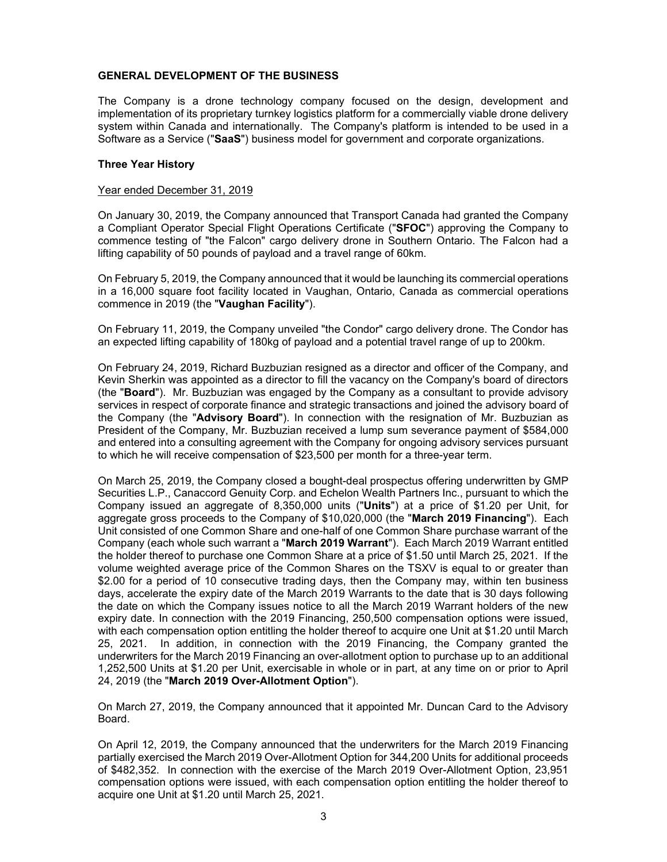#### **GENERAL DEVELOPMENT OF THE BUSINESS**

The Company is a drone technology company focused on the design, development and implementation of its proprietary turnkey logistics platform for a commercially viable drone delivery system within Canada and internationally. The Company's platform is intended to be used in a Software as a Service ("**SaaS**") business model for government and corporate organizations.

#### **Three Year History**

#### Year ended December 31, 2019

On January 30, 2019, the Company announced that Transport Canada had granted the Company a Compliant Operator Special Flight Operations Certificate ("**SFOC**") approving the Company to commence testing of "the Falcon" cargo delivery drone in Southern Ontario. The Falcon had a lifting capability of 50 pounds of payload and a travel range of 60km.

On February 5, 2019, the Company announced that it would be launching its commercial operations in a 16,000 square foot facility located in Vaughan, Ontario, Canada as commercial operations commence in 2019 (the "**Vaughan Facility**").

On February 11, 2019, the Company unveiled "the Condor" cargo delivery drone. The Condor has an expected lifting capability of 180kg of payload and a potential travel range of up to 200km.

On February 24, 2019, Richard Buzbuzian resigned as a director and officer of the Company, and Kevin Sherkin was appointed as a director to fill the vacancy on the Company's board of directors (the "**Board**"). Mr. Buzbuzian was engaged by the Company as a consultant to provide advisory services in respect of corporate finance and strategic transactions and joined the advisory board of the Company (the "**Advisory Board**"). In connection with the resignation of Mr. Buzbuzian as President of the Company, Mr. Buzbuzian received a lump sum severance payment of \$584,000 and entered into a consulting agreement with the Company for ongoing advisory services pursuant to which he will receive compensation of \$23,500 per month for a three-year term.

On March 25, 2019, the Company closed a bought-deal prospectus offering underwritten by GMP Securities L.P., Canaccord Genuity Corp. and Echelon Wealth Partners Inc., pursuant to which the Company issued an aggregate of 8,350,000 units ("**Units**") at a price of \$1.20 per Unit, for aggregate gross proceeds to the Company of \$10,020,000 (the "**March 2019 Financing**"). Each Unit consisted of one Common Share and one-half of one Common Share purchase warrant of the Company (each whole such warrant a "**March 2019 Warrant**"). Each March 2019 Warrant entitled the holder thereof to purchase one Common Share at a price of \$1.50 until March 25, 2021. If the volume weighted average price of the Common Shares on the TSXV is equal to or greater than \$2.00 for a period of 10 consecutive trading days, then the Company may, within ten business days, accelerate the expiry date of the March 2019 Warrants to the date that is 30 days following the date on which the Company issues notice to all the March 2019 Warrant holders of the new expiry date. In connection with the 2019 Financing, 250,500 compensation options were issued, with each compensation option entitling the holder thereof to acquire one Unit at \$1.20 until March 25, 2021. In addition, in connection with the 2019 Financing, the Company granted the underwriters for the March 2019 Financing an over-allotment option to purchase up to an additional 1,252,500 Units at \$1.20 per Unit, exercisable in whole or in part, at any time on or prior to April 24, 2019 (the "**March 2019 Over-Allotment Option**").

On March 27, 2019, the Company announced that it appointed Mr. Duncan Card to the Advisory Board.

On April 12, 2019, the Company announced that the underwriters for the March 2019 Financing partially exercised the March 2019 Over-Allotment Option for 344,200 Units for additional proceeds of \$482,352. In connection with the exercise of the March 2019 Over-Allotment Option, 23,951 compensation options were issued, with each compensation option entitling the holder thereof to acquire one Unit at \$1.20 until March 25, 2021.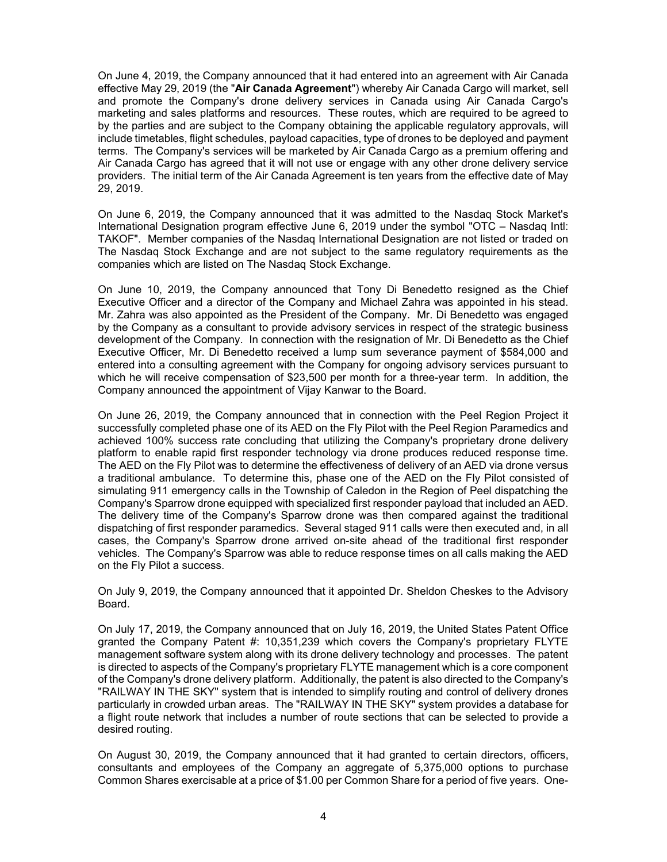On June 4, 2019, the Company announced that it had entered into an agreement with Air Canada effective May 29, 2019 (the "**Air Canada Agreement**") whereby Air Canada Cargo will market, sell and promote the Company's drone delivery services in Canada using Air Canada Cargo's marketing and sales platforms and resources. These routes, which are required to be agreed to by the parties and are subject to the Company obtaining the applicable regulatory approvals, will include timetables, flight schedules, payload capacities, type of drones to be deployed and payment terms. The Company's services will be marketed by Air Canada Cargo as a premium offering and Air Canada Cargo has agreed that it will not use or engage with any other drone delivery service providers. The initial term of the Air Canada Agreement is ten years from the effective date of May 29, 2019.

On June 6, 2019, the Company announced that it was admitted to the Nasdaq Stock Market's International Designation program effective June 6, 2019 under the symbol "OTC – Nasdaq Intl: TAKOF". Member companies of the Nasdaq International Designation are not listed or traded on The Nasdaq Stock Exchange and are not subject to the same regulatory requirements as the companies which are listed on The Nasdaq Stock Exchange.

On June 10, 2019, the Company announced that Tony Di Benedetto resigned as the Chief Executive Officer and a director of the Company and Michael Zahra was appointed in his stead. Mr. Zahra was also appointed as the President of the Company. Mr. Di Benedetto was engaged by the Company as a consultant to provide advisory services in respect of the strategic business development of the Company. In connection with the resignation of Mr. Di Benedetto as the Chief Executive Officer, Mr. Di Benedetto received a lump sum severance payment of \$584,000 and entered into a consulting agreement with the Company for ongoing advisory services pursuant to which he will receive compensation of \$23,500 per month for a three-year term. In addition, the Company announced the appointment of Vijay Kanwar to the Board.

On June 26, 2019, the Company announced that in connection with the Peel Region Project it successfully completed phase one of its AED on the Fly Pilot with the Peel Region Paramedics and achieved 100% success rate concluding that utilizing the Company's proprietary drone delivery platform to enable rapid first responder technology via drone produces reduced response time. The AED on the Fly Pilot was to determine the effectiveness of delivery of an AED via drone versus a traditional ambulance. To determine this, phase one of the AED on the Fly Pilot consisted of simulating 911 emergency calls in the Township of Caledon in the Region of Peel dispatching the Company's Sparrow drone equipped with specialized first responder payload that included an AED. The delivery time of the Company's Sparrow drone was then compared against the traditional dispatching of first responder paramedics. Several staged 911 calls were then executed and, in all cases, the Company's Sparrow drone arrived on-site ahead of the traditional first responder vehicles. The Company's Sparrow was able to reduce response times on all calls making the AED on the Fly Pilot a success.

On July 9, 2019, the Company announced that it appointed Dr. Sheldon Cheskes to the Advisory Board.

On July 17, 2019, the Company announced that on July 16, 2019, the United States Patent Office granted the Company Patent #: 10,351,239 which covers the Company's proprietary FLYTE management software system along with its drone delivery technology and processes. The patent is directed to aspects of the Company's proprietary FLYTE management which is a core component of the Company's drone delivery platform. Additionally, the patent is also directed to the Company's "RAILWAY IN THE SKY" system that is intended to simplify routing and control of delivery drones particularly in crowded urban areas. The "RAILWAY IN THE SKY" system provides a database for a flight route network that includes a number of route sections that can be selected to provide a desired routing.

On August 30, 2019, the Company announced that it had granted to certain directors, officers, consultants and employees of the Company an aggregate of 5,375,000 options to purchase Common Shares exercisable at a price of \$1.00 per Common Share for a period of five years. One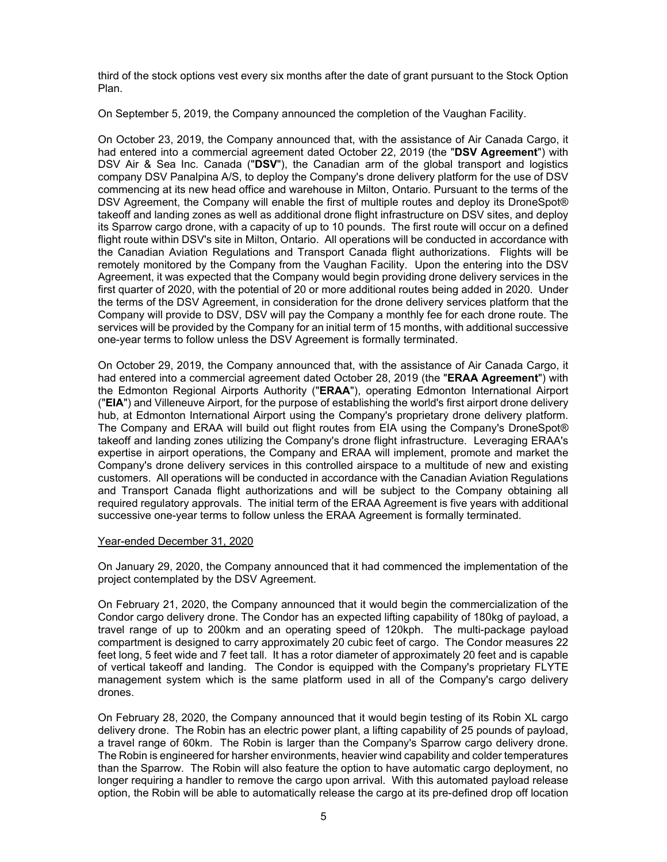third of the stock options vest every six months after the date of grant pursuant to the Stock Option Plan.

On September 5, 2019, the Company announced the completion of the Vaughan Facility.

On October 23, 2019, the Company announced that, with the assistance of Air Canada Cargo, it had entered into a commercial agreement dated October 22, 2019 (the "**DSV Agreement**") with DSV Air & Sea Inc. Canada ("**DSV**"), the Canadian arm of the global transport and logistics company DSV Panalpina A/S, to deploy the Company's drone delivery platform for the use of DSV commencing at its new head office and warehouse in Milton, Ontario. Pursuant to the terms of the DSV Agreement, the Company will enable the first of multiple routes and deploy its DroneSpot® takeoff and landing zones as well as additional drone flight infrastructure on DSV sites, and deploy its Sparrow cargo drone, with a capacity of up to 10 pounds. The first route will occur on a defined flight route within DSV's site in Milton, Ontario. All operations will be conducted in accordance with the Canadian Aviation Regulations and Transport Canada flight authorizations. Flights will be remotely monitored by the Company from the Vaughan Facility. Upon the entering into the DSV Agreement, it was expected that the Company would begin providing drone delivery services in the first quarter of 2020, with the potential of 20 or more additional routes being added in 2020. Under the terms of the DSV Agreement, in consideration for the drone delivery services platform that the Company will provide to DSV, DSV will pay the Company a monthly fee for each drone route. The services will be provided by the Company for an initial term of 15 months, with additional successive one-year terms to follow unless the DSV Agreement is formally terminated.

On October 29, 2019, the Company announced that, with the assistance of Air Canada Cargo, it had entered into a commercial agreement dated October 28, 2019 (the "**ERAA Agreement**") with the Edmonton Regional Airports Authority ("**ERAA**"), operating Edmonton International Airport ("**EIA**") and Villeneuve Airport, for the purpose of establishing the world's first airport drone delivery hub, at Edmonton International Airport using the Company's proprietary drone delivery platform. The Company and ERAA will build out flight routes from EIA using the Company's DroneSpot® takeoff and landing zones utilizing the Company's drone flight infrastructure. Leveraging ERAA's expertise in airport operations, the Company and ERAA will implement, promote and market the Company's drone delivery services in this controlled airspace to a multitude of new and existing customers. All operations will be conducted in accordance with the Canadian Aviation Regulations and Transport Canada flight authorizations and will be subject to the Company obtaining all required regulatory approvals. The initial term of the ERAA Agreement is five years with additional successive one-year terms to follow unless the ERAA Agreement is formally terminated.

#### Year-ended December 31, 2020

On January 29, 2020, the Company announced that it had commenced the implementation of the project contemplated by the DSV Agreement.

On February 21, 2020, the Company announced that it would begin the commercialization of the Condor cargo delivery drone. The Condor has an expected lifting capability of 180kg of payload, a travel range of up to 200km and an operating speed of 120kph. The multi-package payload compartment is designed to carry approximately 20 cubic feet of cargo. The Condor measures 22 feet long, 5 feet wide and 7 feet tall. It has a rotor diameter of approximately 20 feet and is capable of vertical takeoff and landing. The Condor is equipped with the Company's proprietary FLYTE management system which is the same platform used in all of the Company's cargo delivery drones.

On February 28, 2020, the Company announced that it would begin testing of its Robin XL cargo delivery drone. The Robin has an electric power plant, a lifting capability of 25 pounds of payload, a travel range of 60km. The Robin is larger than the Company's Sparrow cargo delivery drone. The Robin is engineered for harsher environments, heavier wind capability and colder temperatures than the Sparrow. The Robin will also feature the option to have automatic cargo deployment, no longer requiring a handler to remove the cargo upon arrival. With this automated payload release option, the Robin will be able to automatically release the cargo at its pre-defined drop off location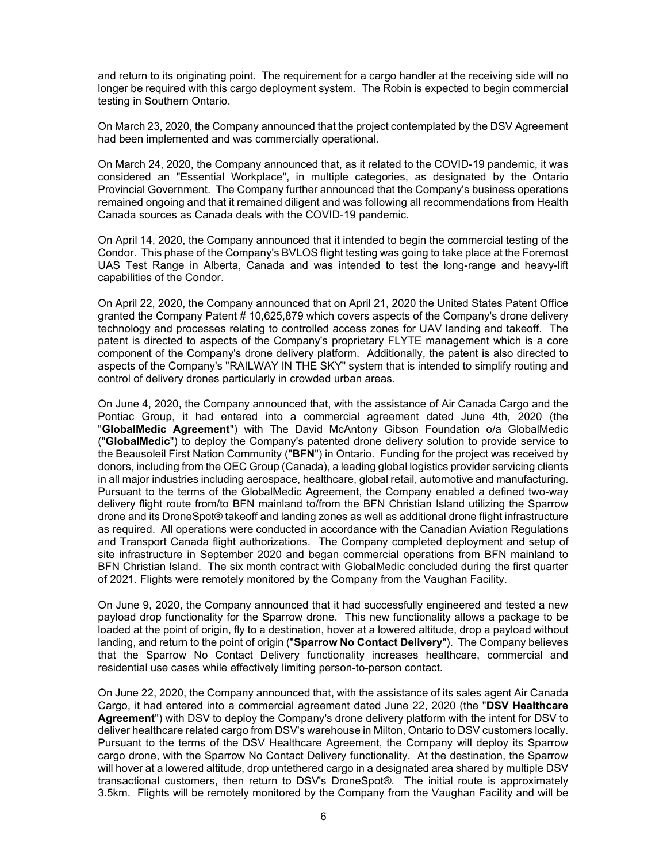and return to its originating point. The requirement for a cargo handler at the receiving side will no longer be required with this cargo deployment system. The Robin is expected to begin commercial testing in Southern Ontario.

On March 23, 2020, the Company announced that the project contemplated by the DSV Agreement had been implemented and was commercially operational.

On March 24, 2020, the Company announced that, as it related to the COVID-19 pandemic, it was considered an "Essential Workplace", in multiple categories, as designated by the Ontario Provincial Government. The Company further announced that the Company's business operations remained ongoing and that it remained diligent and was following all recommendations from Health Canada sources as Canada deals with the COVID-19 pandemic.

On April 14, 2020, the Company announced that it intended to begin the commercial testing of the Condor. This phase of the Company's BVLOS flight testing was going to take place at the Foremost UAS Test Range in Alberta, Canada and was intended to test the long-range and heavy-lift capabilities of the Condor.

On April 22, 2020, the Company announced that on April 21, 2020 the United States Patent Office granted the Company Patent # 10,625,879 which covers aspects of the Company's drone delivery technology and processes relating to controlled access zones for UAV landing and takeoff. The patent is directed to aspects of the Company's proprietary FLYTE management which is a core component of the Company's drone delivery platform. Additionally, the patent is also directed to aspects of the Company's "RAILWAY IN THE SKY" system that is intended to simplify routing and control of delivery drones particularly in crowded urban areas.

On June 4, 2020, the Company announced that, with the assistance of Air Canada Cargo and the Pontiac Group, it had entered into a commercial agreement dated June 4th, 2020 (the "**GlobalMedic Agreement**") with The David McAntony Gibson Foundation o/a GlobalMedic ("**GlobalMedic**") to deploy the Company's patented drone delivery solution to provide service to the Beausoleil First Nation Community ("**BFN**") in Ontario. Funding for the project was received by donors, including from the OEC Group (Canada), a leading global logistics provider servicing clients in all major industries including aerospace, healthcare, global retail, automotive and manufacturing. Pursuant to the terms of the GlobalMedic Agreement, the Company enabled a defined two-way delivery flight route from/to BFN mainland to/from the BFN Christian Island utilizing the Sparrow drone and its DroneSpot® takeoff and landing zones as well as additional drone flight infrastructure as required. All operations were conducted in accordance with the Canadian Aviation Regulations and Transport Canada flight authorizations. The Company completed deployment and setup of site infrastructure in September 2020 and began commercial operations from BFN mainland to BFN Christian Island. The six month contract with GlobalMedic concluded during the first quarter of 2021. Flights were remotely monitored by the Company from the Vaughan Facility.

On June 9, 2020, the Company announced that it had successfully engineered and tested a new payload drop functionality for the Sparrow drone. This new functionality allows a package to be loaded at the point of origin, fly to a destination, hover at a lowered altitude, drop a payload without landing, and return to the point of origin ("**Sparrow No Contact Delivery**"). The Company believes that the Sparrow No Contact Delivery functionality increases healthcare, commercial and residential use cases while effectively limiting person-to-person contact.

On June 22, 2020, the Company announced that, with the assistance of its sales agent Air Canada Cargo, it had entered into a commercial agreement dated June 22, 2020 (the "**DSV Healthcare Agreement**") with DSV to deploy the Company's drone delivery platform with the intent for DSV to deliver healthcare related cargo from DSV's warehouse in Milton, Ontario to DSV customers locally. Pursuant to the terms of the DSV Healthcare Agreement, the Company will deploy its Sparrow cargo drone, with the Sparrow No Contact Delivery functionality. At the destination, the Sparrow will hover at a lowered altitude, drop untethered cargo in a designated area shared by multiple DSV transactional customers, then return to DSV's DroneSpot®. The initial route is approximately 3.5km. Flights will be remotely monitored by the Company from the Vaughan Facility and will be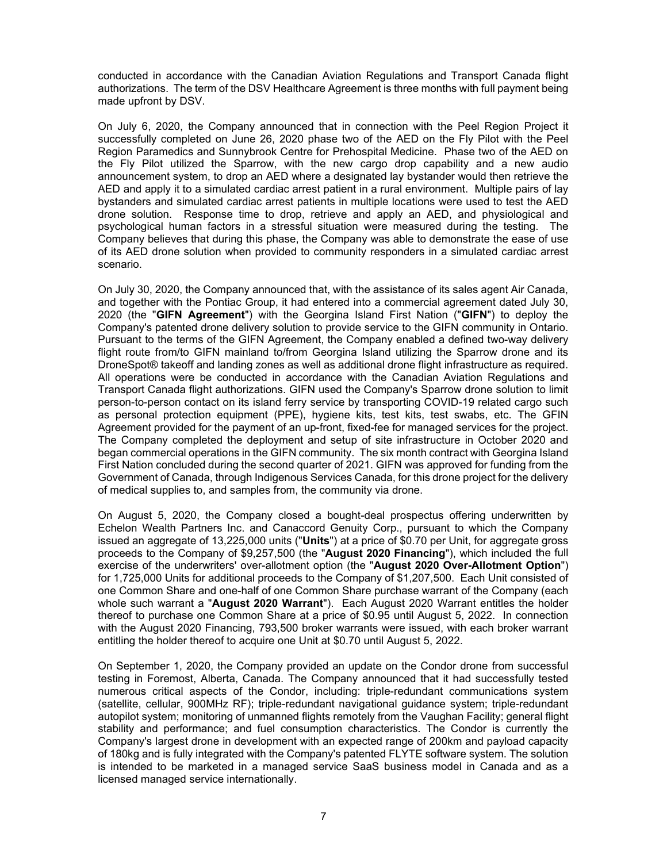conducted in accordance with the Canadian Aviation Regulations and Transport Canada flight authorizations. The term of the DSV Healthcare Agreement is three months with full payment being made upfront by DSV.

On July 6, 2020, the Company announced that in connection with the Peel Region Project it successfully completed on June 26, 2020 phase two of the AED on the Fly Pilot with the Peel Region Paramedics and Sunnybrook Centre for Prehospital Medicine. Phase two of the AED on the Fly Pilot utilized the Sparrow, with the new cargo drop capability and a new audio announcement system, to drop an AED where a designated lay bystander would then retrieve the AED and apply it to a simulated cardiac arrest patient in a rural environment. Multiple pairs of lay bystanders and simulated cardiac arrest patients in multiple locations were used to test the AED drone solution. Response time to drop, retrieve and apply an AED, and physiological and psychological human factors in a stressful situation were measured during the testing. The Company believes that during this phase, the Company was able to demonstrate the ease of use of its AED drone solution when provided to community responders in a simulated cardiac arrest scenario.

On July 30, 2020, the Company announced that, with the assistance of its sales agent Air Canada, and together with the Pontiac Group, it had entered into a commercial agreement dated July 30, 2020 (the "**GIFN Agreement**") with the Georgina Island First Nation ("**GIFN**") to deploy the Company's patented drone delivery solution to provide service to the GIFN community in Ontario. Pursuant to the terms of the GIFN Agreement, the Company enabled a defined two-way delivery flight route from/to GIFN mainland to/from Georgina Island utilizing the Sparrow drone and its DroneSpot® takeoff and landing zones as well as additional drone flight infrastructure as required. All operations were be conducted in accordance with the Canadian Aviation Regulations and Transport Canada flight authorizations. GIFN used the Company's Sparrow drone solution to limit person-to-person contact on its island ferry service by transporting COVID-19 related cargo such as personal protection equipment (PPE), hygiene kits, test kits, test swabs, etc. The GFIN Agreement provided for the payment of an up-front, fixed-fee for managed services for the project. The Company completed the deployment and setup of site infrastructure in October 2020 and began commercial operations in the GIFN community. The six month contract with Georgina Island First Nation concluded during the second quarter of 2021. GIFN was approved for funding from the Government of Canada, through Indigenous Services Canada, for this drone project for the delivery of medical supplies to, and samples from, the community via drone.

On August 5, 2020, the Company closed a bought-deal prospectus offering underwritten by Echelon Wealth Partners Inc. and Canaccord Genuity Corp., pursuant to which the Company issued an aggregate of 13,225,000 units ("**Units**") at a price of \$0.70 per Unit, for aggregate gross proceeds to the Company of \$9,257,500 (the "**August 2020 Financing**"), which included the full exercise of the underwriters' over-allotment option (the "**August 2020 Over-Allotment Option**") for 1,725,000 Units for additional proceeds to the Company of \$1,207,500. Each Unit consisted of one Common Share and one-half of one Common Share purchase warrant of the Company (each whole such warrant a "**August 2020 Warrant**"). Each August 2020 Warrant entitles the holder thereof to purchase one Common Share at a price of \$0.95 until August 5, 2022. In connection with the August 2020 Financing, 793,500 broker warrants were issued, with each broker warrant entitling the holder thereof to acquire one Unit at \$0.70 until August 5, 2022.

On September 1, 2020, the Company provided an update on the Condor drone from successful testing in Foremost, Alberta, Canada. The Company announced that it had successfully tested numerous critical aspects of the Condor, including: triple-redundant communications system (satellite, cellular, 900MHz RF); triple-redundant navigational guidance system; triple-redundant autopilot system; monitoring of unmanned flights remotely from the Vaughan Facility; general flight stability and performance; and fuel consumption characteristics. The Condor is currently the Company's largest drone in development with an expected range of 200km and payload capacity of 180kg and is fully integrated with the Company's patented FLYTE software system. The solution is intended to be marketed in a managed service SaaS business model in Canada and as a licensed managed service internationally.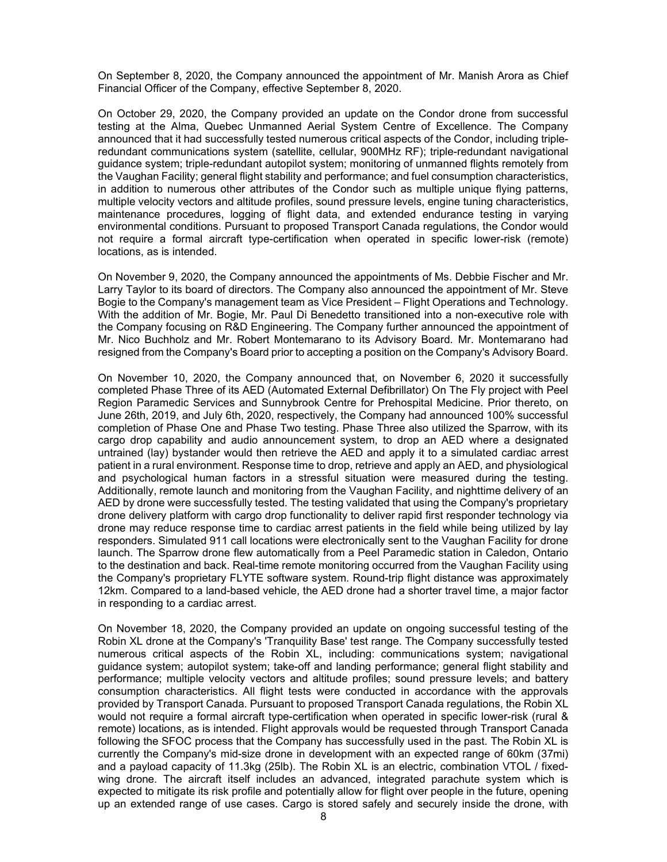On September 8, 2020, the Company announced the appointment of Mr. Manish Arora as Chief Financial Officer of the Company, effective September 8, 2020.

On October 29, 2020, the Company provided an update on the Condor drone from successful testing at the Alma, Quebec Unmanned Aerial System Centre of Excellence. The Company announced that it had successfully tested numerous critical aspects of the Condor, including tripleredundant communications system (satellite, cellular, 900MHz RF); triple-redundant navigational guidance system; triple-redundant autopilot system; monitoring of unmanned flights remotely from the Vaughan Facility; general flight stability and performance; and fuel consumption characteristics, in addition to numerous other attributes of the Condor such as multiple unique flying patterns, multiple velocity vectors and altitude profiles, sound pressure levels, engine tuning characteristics, maintenance procedures, logging of flight data, and extended endurance testing in varying environmental conditions. Pursuant to proposed Transport Canada regulations, the Condor would not require a formal aircraft type-certification when operated in specific lower-risk (remote) locations, as is intended.

On November 9, 2020, the Company announced the appointments of Ms. Debbie Fischer and Mr. Larry Taylor to its board of directors. The Company also announced the appointment of Mr. Steve Bogie to the Company's management team as Vice President – Flight Operations and Technology. With the addition of Mr. Bogie, Mr. Paul Di Benedetto transitioned into a non-executive role with the Company focusing on R&D Engineering. The Company further announced the appointment of Mr. Nico Buchholz and Mr. Robert Montemarano to its Advisory Board. Mr. Montemarano had resigned from the Company's Board prior to accepting a position on the Company's Advisory Board.

On November 10, 2020, the Company announced that, on November 6, 2020 it successfully completed Phase Three of its AED (Automated External Defibrillator) On The Fly project with Peel Region Paramedic Services and Sunnybrook Centre for Prehospital Medicine. Prior thereto, on June 26th, 2019, and July 6th, 2020, respectively, the Company had announced 100% successful completion of Phase One and Phase Two testing. Phase Three also utilized the Sparrow, with its cargo drop capability and audio announcement system, to drop an AED where a designated untrained (lay) bystander would then retrieve the AED and apply it to a simulated cardiac arrest patient in a rural environment. Response time to drop, retrieve and apply an AED, and physiological and psychological human factors in a stressful situation were measured during the testing. Additionally, remote launch and monitoring from the Vaughan Facility, and nighttime delivery of an AED by drone were successfully tested. The testing validated that using the Company's proprietary drone delivery platform with cargo drop functionality to deliver rapid first responder technology via drone may reduce response time to cardiac arrest patients in the field while being utilized by lay responders. Simulated 911 call locations were electronically sent to the Vaughan Facility for drone launch. The Sparrow drone flew automatically from a Peel Paramedic station in Caledon, Ontario to the destination and back. Real-time remote monitoring occurred from the Vaughan Facility using the Company's proprietary FLYTE software system. Round-trip flight distance was approximately 12km. Compared to a land-based vehicle, the AED drone had a shorter travel time, a major factor in responding to a cardiac arrest.

On November 18, 2020, the Company provided an update on ongoing successful testing of the Robin XL drone at the Company's 'Tranquility Base' test range. The Company successfully tested numerous critical aspects of the Robin XL, including: communications system; navigational guidance system; autopilot system; take-off and landing performance; general flight stability and performance; multiple velocity vectors and altitude profiles; sound pressure levels; and battery consumption characteristics. All flight tests were conducted in accordance with the approvals provided by Transport Canada. Pursuant to proposed Transport Canada regulations, the Robin XL would not require a formal aircraft type-certification when operated in specific lower-risk (rural & remote) locations, as is intended. Flight approvals would be requested through Transport Canada following the SFOC process that the Company has successfully used in the past. The Robin XL is currently the Company's mid-size drone in development with an expected range of 60km (37mi) and a payload capacity of 11.3kg (25lb). The Robin XL is an electric, combination VTOL / fixedwing drone. The aircraft itself includes an advanced, integrated parachute system which is expected to mitigate its risk profile and potentially allow for flight over people in the future, opening up an extended range of use cases. Cargo is stored safely and securely inside the drone, with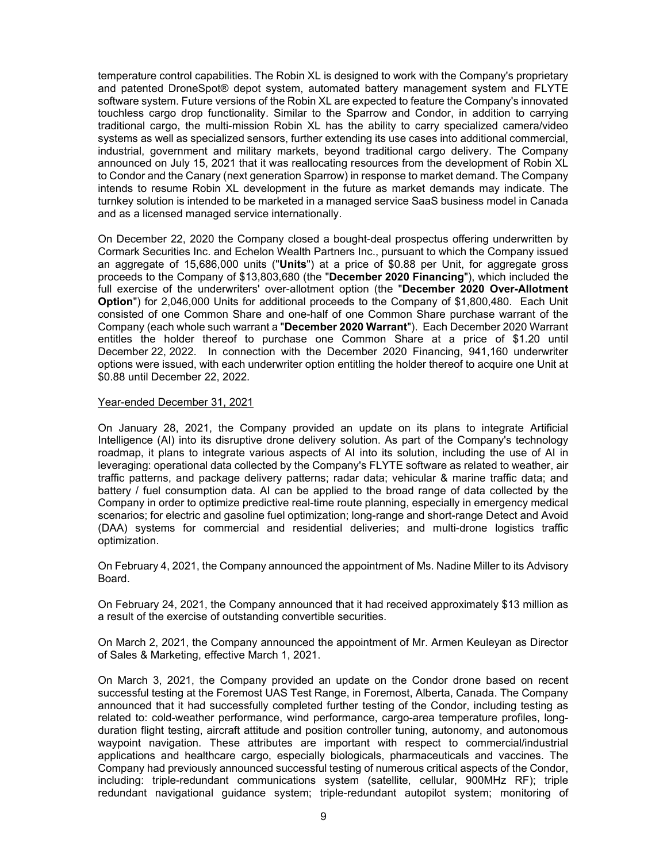temperature control capabilities. The Robin XL is designed to work with the Company's proprietary and patented DroneSpot® depot system, automated battery management system and FLYTE software system. Future versions of the Robin XL are expected to feature the Company's innovated touchless cargo drop functionality. Similar to the Sparrow and Condor, in addition to carrying traditional cargo, the multi-mission Robin XL has the ability to carry specialized camera/video systems as well as specialized sensors, further extending its use cases into additional commercial, industrial, government and military markets, beyond traditional cargo delivery. The Company announced on July 15, 2021 that it was reallocating resources from the development of Robin XL to Condor and the Canary (next generation Sparrow) in response to market demand. The Company intends to resume Robin XL development in the future as market demands may indicate. The turnkey solution is intended to be marketed in a managed service SaaS business model in Canada and as a licensed managed service internationally.

On December 22, 2020 the Company closed a bought-deal prospectus offering underwritten by Cormark Securities Inc. and Echelon Wealth Partners Inc., pursuant to which the Company issued an aggregate of 15,686,000 units ("**Units**") at a price of \$0.88 per Unit, for aggregate gross proceeds to the Company of \$13,803,680 (the "**December 2020 Financing**"), which included the full exercise of the underwriters' over-allotment option (the "**December 2020 Over-Allotment Option**") for 2,046,000 Units for additional proceeds to the Company of \$1,800,480. Each Unit consisted of one Common Share and one-half of one Common Share purchase warrant of the Company (each whole such warrant a "**December 2020 Warrant**"). Each December 2020 Warrant entitles the holder thereof to purchase one Common Share at a price of \$1.20 until December 22, 2022. In connection with the December 2020 Financing, 941,160 underwriter options were issued, with each underwriter option entitling the holder thereof to acquire one Unit at \$0.88 until December 22, 2022.

#### Year-ended December 31, 2021

On January 28, 2021, the Company provided an update on its plans to integrate Artificial Intelligence (AI) into its disruptive drone delivery solution. As part of the Company's technology roadmap, it plans to integrate various aspects of AI into its solution, including the use of AI in leveraging: operational data collected by the Company's FLYTE software as related to weather, air traffic patterns, and package delivery patterns; radar data; vehicular & marine traffic data; and battery / fuel consumption data. AI can be applied to the broad range of data collected by the Company in order to optimize predictive real-time route planning, especially in emergency medical scenarios; for electric and gasoline fuel optimization; long-range and short-range Detect and Avoid (DAA) systems for commercial and residential deliveries; and multi-drone logistics traffic optimization.

On February 4, 2021, the Company announced the appointment of Ms. Nadine Miller to its Advisory Board.

On February 24, 2021, the Company announced that it had received approximately \$13 million as a result of the exercise of outstanding convertible securities.

On March 2, 2021, the Company announced the appointment of Mr. Armen Keuleyan as Director of Sales & Marketing, effective March 1, 2021.

On March 3, 2021, the Company provided an update on the Condor drone based on recent successful testing at the Foremost UAS Test Range, in Foremost, Alberta, Canada. The Company announced that it had successfully completed further testing of the Condor, including testing as related to: cold-weather performance, wind performance, cargo-area temperature profiles, longduration flight testing, aircraft attitude and position controller tuning, autonomy, and autonomous waypoint navigation. These attributes are important with respect to commercial/industrial applications and healthcare cargo, especially biologicals, pharmaceuticals and vaccines. The Company had previously announced successful testing of numerous critical aspects of the Condor, including: triple-redundant communications system (satellite, cellular, 900MHz RF); triple redundant navigational guidance system; triple-redundant autopilot system; monitoring of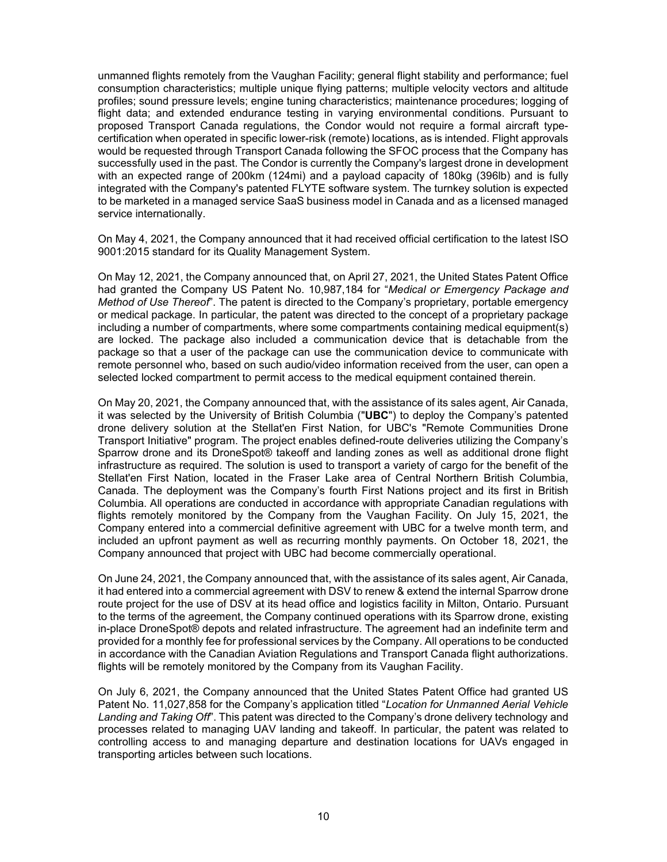unmanned flights remotely from the Vaughan Facility; general flight stability and performance; fuel consumption characteristics; multiple unique flying patterns; multiple velocity vectors and altitude profiles; sound pressure levels; engine tuning characteristics; maintenance procedures; logging of flight data; and extended endurance testing in varying environmental conditions. Pursuant to proposed Transport Canada regulations, the Condor would not require a formal aircraft typecertification when operated in specific lower-risk (remote) locations, as is intended. Flight approvals would be requested through Transport Canada following the SFOC process that the Company has successfully used in the past. The Condor is currently the Company's largest drone in development with an expected range of 200km (124mi) and a payload capacity of 180kg (396lb) and is fully integrated with the Company's patented FLYTE software system. The turnkey solution is expected to be marketed in a managed service SaaS business model in Canada and as a licensed managed service internationally.

On May 4, 2021, the Company announced that it had received official certification to the latest ISO 9001:2015 standard for its Quality Management System.

On May 12, 2021, the Company announced that, on April 27, 2021, the United States Patent Office had granted the Company US Patent No. 10,987,184 for "*Medical or Emergency Package and Method of Use Thereof*". The patent is directed to the Company's proprietary, portable emergency or medical package. In particular, the patent was directed to the concept of a proprietary package including a number of compartments, where some compartments containing medical equipment(s) are locked. The package also included a communication device that is detachable from the package so that a user of the package can use the communication device to communicate with remote personnel who, based on such audio/video information received from the user, can open a selected locked compartment to permit access to the medical equipment contained therein.

On May 20, 2021, the Company announced that, with the assistance of its sales agent, Air Canada, it was selected by the University of British Columbia ("**UBC**") to deploy the Company's patented drone delivery solution at the Stellat'en First Nation, for UBC's "Remote Communities Drone Transport Initiative" program. The project enables defined-route deliveries utilizing the Company's Sparrow drone and its DroneSpot® takeoff and landing zones as well as additional drone flight infrastructure as required. The solution is used to transport a variety of cargo for the benefit of the Stellat'en First Nation, located in the Fraser Lake area of Central Northern British Columbia, Canada. The deployment was the Company's fourth First Nations project and its first in British Columbia. All operations are conducted in accordance with appropriate Canadian regulations with flights remotely monitored by the Company from the Vaughan Facility. On July 15, 2021, the Company entered into a commercial definitive agreement with UBC for a twelve month term, and included an upfront payment as well as recurring monthly payments. On October 18, 2021, the Company announced that project with UBC had become commercially operational.

On June 24, 2021, the Company announced that, with the assistance of its sales agent, Air Canada, it had entered into a commercial agreement with DSV to renew & extend the internal Sparrow drone route project for the use of DSV at its head office and logistics facility in Milton, Ontario. Pursuant to the terms of the agreement, the Company continued operations with its Sparrow drone, existing in-place DroneSpot® depots and related infrastructure. The agreement had an indefinite term and provided for a monthly fee for professional services by the Company. All operations to be conducted in accordance with the Canadian Aviation Regulations and Transport Canada flight authorizations. flights will be remotely monitored by the Company from its Vaughan Facility.

On July 6, 2021, the Company announced that the United States Patent Office had granted US Patent No. 11,027,858 for the Company's application titled "*Location for Unmanned Aerial Vehicle Landing and Taking Off*". This patent was directed to the Company's drone delivery technology and processes related to managing UAV landing and takeoff. In particular, the patent was related to controlling access to and managing departure and destination locations for UAVs engaged in transporting articles between such locations.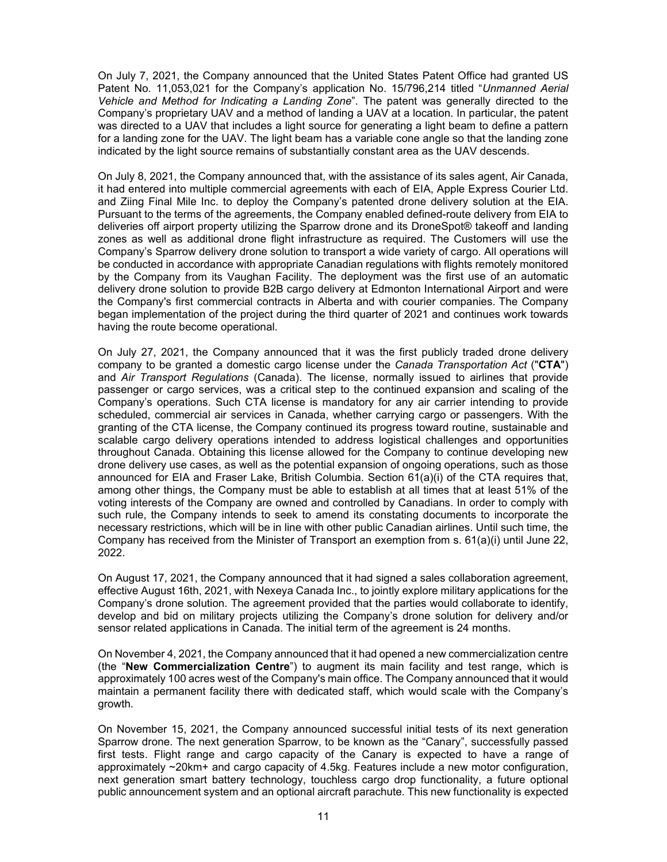On July 7, 2021, the Company announced that the United States Patent Office had granted US Patent No. 11,053,021 for the Company's application No. 15/796,214 titled "*Unmanned Aerial Vehicle and Method for Indicating a Landing Zone*". The patent was generally directed to the Company's proprietary UAV and a method of landing a UAV at a location. In particular, the patent was directed to a UAV that includes a light source for generating a light beam to define a pattern for a landing zone for the UAV. The light beam has a variable cone angle so that the landing zone indicated by the light source remains of substantially constant area as the UAV descends.

On July 8, 2021, the Company announced that, with the assistance of its sales agent, Air Canada, it had entered into multiple commercial agreements with each of EIA, Apple Express Courier Ltd. and Ziing Final Mile Inc. to deploy the Company's patented drone delivery solution at the EIA. Pursuant to the terms of the agreements, the Company enabled defined-route delivery from EIA to deliveries off airport property utilizing the Sparrow drone and its DroneSpot® takeoff and landing zones as well as additional drone flight infrastructure as required. The Customers will use the Company's Sparrow delivery drone solution to transport a wide variety of cargo. All operations will be conducted in accordance with appropriate Canadian regulations with flights remotely monitored by the Company from its Vaughan Facility. The deployment was the first use of an automatic delivery drone solution to provide B2B cargo delivery at Edmonton International Airport and were the Company's first commercial contracts in Alberta and with courier companies. The Company began implementation of the project during the third quarter of 2021 and continues work towards having the route become operational.

On July 27, 2021, the Company announced that it was the first publicly traded drone delivery company to be granted a domestic cargo license under the *Canada Transportation Act* ("**CTA**") and *Air Transport Regulations* (Canada). The license, normally issued to airlines that provide passenger or cargo services, was a critical step to the continued expansion and scaling of the Company's operations. Such CTA license is mandatory for any air carrier intending to provide scheduled, commercial air services in Canada, whether carrying cargo or passengers. With the granting of the CTA license, the Company continued its progress toward routine, sustainable and scalable cargo delivery operations intended to address logistical challenges and opportunities throughout Canada. Obtaining this license allowed for the Company to continue developing new drone delivery use cases, as well as the potential expansion of ongoing operations, such as those announced for EIA and Fraser Lake, British Columbia. Section 61(a)(i) of the CTA requires that, among other things, the Company must be able to establish at all times that at least 51% of the voting interests of the Company are owned and controlled by Canadians. In order to comply with such rule, the Company intends to seek to amend its constating documents to incorporate the necessary restrictions, which will be in line with other public Canadian airlines. Until such time, the Company has received from the Minister of Transport an exemption from s. 61(a)(i) until June 22, 2022.

On August 17, 2021, the Company announced that it had signed a sales collaboration agreement, effective August 16th, 2021, with Nexeya Canada Inc., to jointly explore military applications for the Company's drone solution. The agreement provided that the parties would collaborate to identify, develop and bid on military projects utilizing the Company's drone solution for delivery and/or sensor related applications in Canada. The initial term of the agreement is 24 months.

On November 4, 2021, the Company announced that it had opened a new commercialization centre (the "**New Commercialization Centre**") to augment its main facility and test range, which is approximately 100 acres west of the Company's main office. The Company announced that it would maintain a permanent facility there with dedicated staff, which would scale with the Company's growth.

On November 15, 2021, the Company announced successful initial tests of its next generation Sparrow drone. The next generation Sparrow, to be known as the "Canary", successfully passed first tests. Flight range and cargo capacity of the Canary is expected to have a range of approximately ~20km+ and cargo capacity of 4.5kg. Features include a new motor configuration, next generation smart battery technology, touchless cargo drop functionality, a future optional public announcement system and an optional aircraft parachute. This new functionality is expected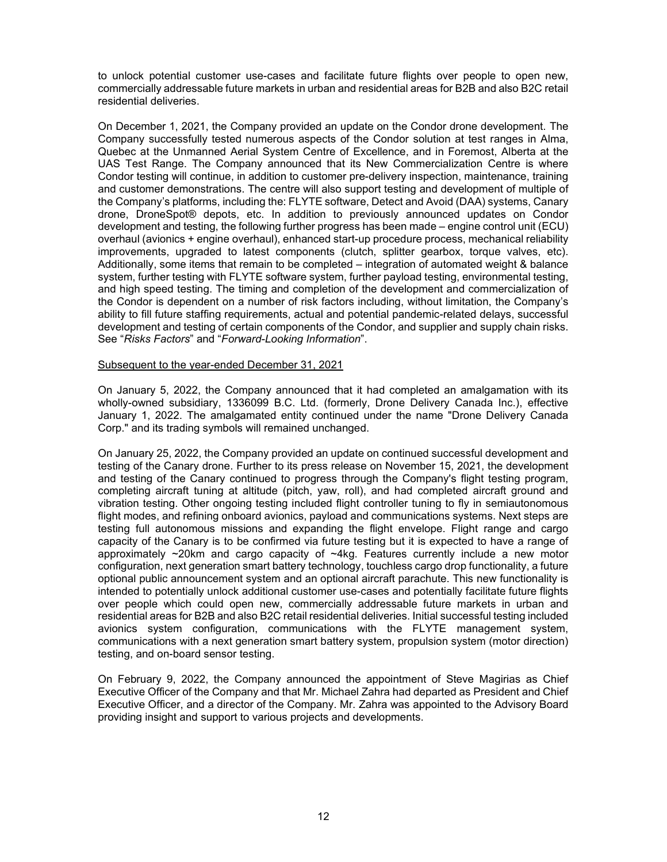to unlock potential customer use-cases and facilitate future flights over people to open new, commercially addressable future markets in urban and residential areas for B2B and also B2C retail residential deliveries.

On December 1, 2021, the Company provided an update on the Condor drone development. The Company successfully tested numerous aspects of the Condor solution at test ranges in Alma, Quebec at the Unmanned Aerial System Centre of Excellence, and in Foremost, Alberta at the UAS Test Range. The Company announced that its New Commercialization Centre is where Condor testing will continue, in addition to customer pre-delivery inspection, maintenance, training and customer demonstrations. The centre will also support testing and development of multiple of the Company's platforms, including the: FLYTE software, Detect and Avoid (DAA) systems, Canary drone, DroneSpot® depots, etc. In addition to previously announced updates on Condor development and testing, the following further progress has been made – engine control unit (ECU) overhaul (avionics + engine overhaul), enhanced start-up procedure process, mechanical reliability improvements, upgraded to latest components (clutch, splitter gearbox, torque valves, etc). Additionally, some items that remain to be completed – integration of automated weight & balance system, further testing with FLYTE software system, further payload testing, environmental testing, and high speed testing. The timing and completion of the development and commercialization of the Condor is dependent on a number of risk factors including, without limitation, the Company's ability to fill future staffing requirements, actual and potential pandemic-related delays, successful development and testing of certain components of the Condor, and supplier and supply chain risks. See "*Risks Factors*" and "*Forward-Looking Information*".

#### Subsequent to the year-ended December 31, 2021

On January 5, 2022, the Company announced that it had completed an amalgamation with its wholly-owned subsidiary, 1336099 B.C. Ltd. (formerly, Drone Delivery Canada Inc.), effective January 1, 2022. The amalgamated entity continued under the name "Drone Delivery Canada Corp." and its trading symbols will remained unchanged.

On January 25, 2022, the Company provided an update on continued successful development and testing of the Canary drone. Further to its press release on November 15, 2021, the development and testing of the Canary continued to progress through the Company's flight testing program, completing aircraft tuning at altitude (pitch, yaw, roll), and had completed aircraft ground and vibration testing. Other ongoing testing included flight controller tuning to fly in semiautonomous flight modes, and refining onboard avionics, payload and communications systems. Next steps are testing full autonomous missions and expanding the flight envelope. Flight range and cargo capacity of the Canary is to be confirmed via future testing but it is expected to have a range of approximately  $\sim$ 20km and cargo capacity of  $\sim$ 4kg. Features currently include a new motor configuration, next generation smart battery technology, touchless cargo drop functionality, a future optional public announcement system and an optional aircraft parachute. This new functionality is intended to potentially unlock additional customer use-cases and potentially facilitate future flights over people which could open new, commercially addressable future markets in urban and residential areas for B2B and also B2C retail residential deliveries. Initial successful testing included avionics system configuration, communications with the FLYTE management system, communications with a next generation smart battery system, propulsion system (motor direction) testing, and on-board sensor testing.

On February 9, 2022, the Company announced the appointment of Steve Magirias as Chief Executive Officer of the Company and that Mr. Michael Zahra had departed as President and Chief Executive Officer, and a director of the Company. Mr. Zahra was appointed to the Advisory Board providing insight and support to various projects and developments.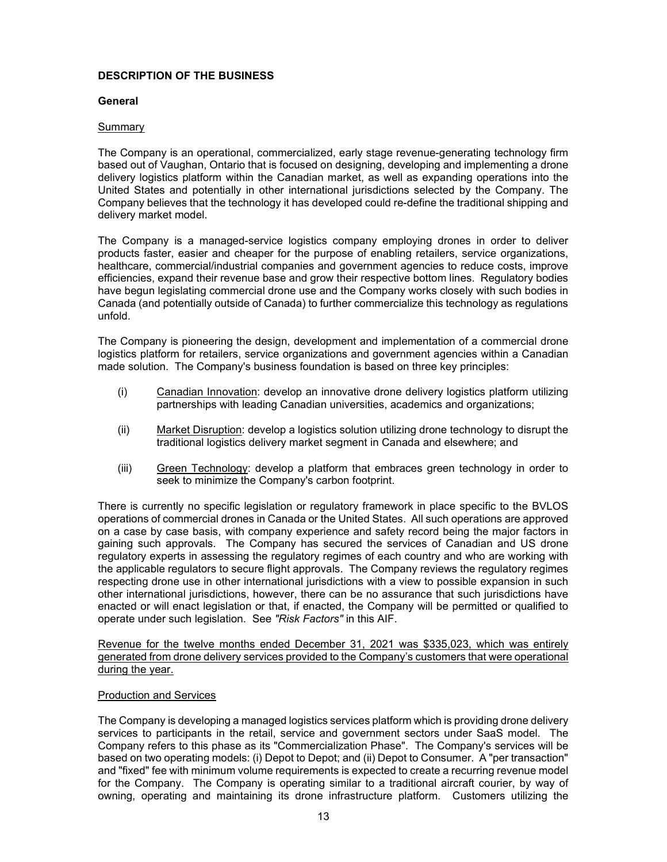## **DESCRIPTION OF THE BUSINESS**

## **General**

## Summary

The Company is an operational, commercialized, early stage revenue-generating technology firm based out of Vaughan, Ontario that is focused on designing, developing and implementing a drone delivery logistics platform within the Canadian market, as well as expanding operations into the United States and potentially in other international jurisdictions selected by the Company. The Company believes that the technology it has developed could re-define the traditional shipping and delivery market model.

The Company is a managed-service logistics company employing drones in order to deliver products faster, easier and cheaper for the purpose of enabling retailers, service organizations, healthcare, commercial/industrial companies and government agencies to reduce costs, improve efficiencies, expand their revenue base and grow their respective bottom lines. Regulatory bodies have begun legislating commercial drone use and the Company works closely with such bodies in Canada (and potentially outside of Canada) to further commercialize this technology as regulations unfold.

The Company is pioneering the design, development and implementation of a commercial drone logistics platform for retailers, service organizations and government agencies within a Canadian made solution. The Company's business foundation is based on three key principles:

- (i) Canadian Innovation: develop an innovative drone delivery logistics platform utilizing partnerships with leading Canadian universities, academics and organizations;
- (ii) Market Disruption: develop a logistics solution utilizing drone technology to disrupt the traditional logistics delivery market segment in Canada and elsewhere; and
- (iii) Green Technology: develop a platform that embraces green technology in order to seek to minimize the Company's carbon footprint.

There is currently no specific legislation or regulatory framework in place specific to the BVLOS operations of commercial drones in Canada or the United States. All such operations are approved on a case by case basis, with company experience and safety record being the major factors in gaining such approvals. The Company has secured the services of Canadian and US drone regulatory experts in assessing the regulatory regimes of each country and who are working with the applicable regulators to secure flight approvals. The Company reviews the regulatory regimes respecting drone use in other international jurisdictions with a view to possible expansion in such other international jurisdictions, however, there can be no assurance that such jurisdictions have enacted or will enact legislation or that, if enacted, the Company will be permitted or qualified to operate under such legislation. See *"Risk Factors"* in this AIF.

Revenue for the twelve months ended December 31, 2021 was \$335,023, which was entirely generated from drone delivery services provided to the Company's customers that were operational during the year.

#### Production and Services

The Company is developing a managed logistics services platform which is providing drone delivery services to participants in the retail, service and government sectors under SaaS model. The Company refers to this phase as its "Commercialization Phase". The Company's services will be based on two operating models: (i) Depot to Depot; and (ii) Depot to Consumer. A "per transaction" and "fixed" fee with minimum volume requirements is expected to create a recurring revenue model for the Company. The Company is operating similar to a traditional aircraft courier, by way of owning, operating and maintaining its drone infrastructure platform. Customers utilizing the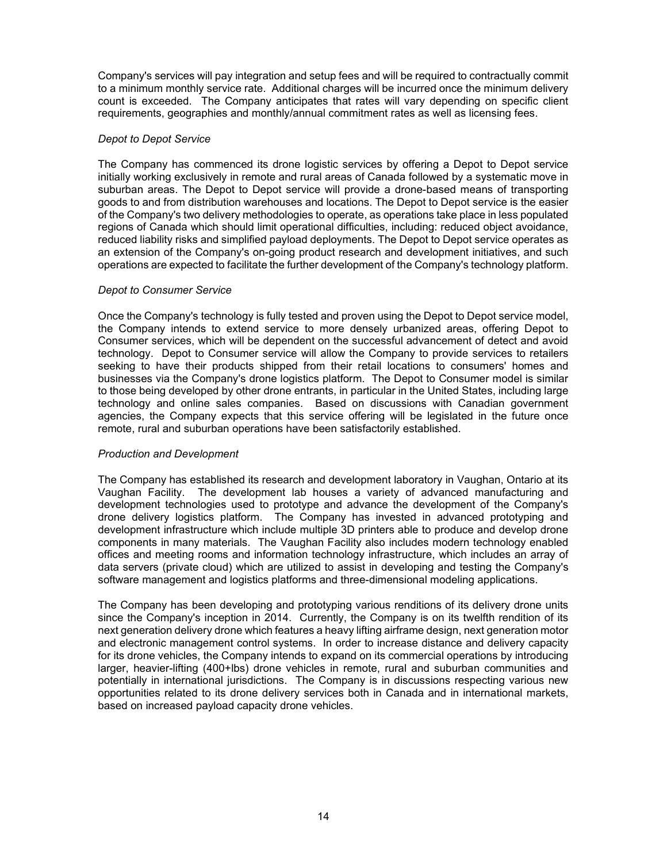Company's services will pay integration and setup fees and will be required to contractually commit to a minimum monthly service rate. Additional charges will be incurred once the minimum delivery count is exceeded. The Company anticipates that rates will vary depending on specific client requirements, geographies and monthly/annual commitment rates as well as licensing fees.

## *Depot to Depot Service*

The Company has commenced its drone logistic services by offering a Depot to Depot service initially working exclusively in remote and rural areas of Canada followed by a systematic move in suburban areas. The Depot to Depot service will provide a drone-based means of transporting goods to and from distribution warehouses and locations. The Depot to Depot service is the easier of the Company's two delivery methodologies to operate, as operations take place in less populated regions of Canada which should limit operational difficulties, including: reduced object avoidance, reduced liability risks and simplified payload deployments. The Depot to Depot service operates as an extension of the Company's on-going product research and development initiatives, and such operations are expected to facilitate the further development of the Company's technology platform.

## *Depot to Consumer Service*

Once the Company's technology is fully tested and proven using the Depot to Depot service model, the Company intends to extend service to more densely urbanized areas, offering Depot to Consumer services, which will be dependent on the successful advancement of detect and avoid technology. Depot to Consumer service will allow the Company to provide services to retailers seeking to have their products shipped from their retail locations to consumers' homes and businesses via the Company's drone logistics platform. The Depot to Consumer model is similar to those being developed by other drone entrants, in particular in the United States, including large technology and online sales companies. Based on discussions with Canadian government agencies, the Company expects that this service offering will be legislated in the future once remote, rural and suburban operations have been satisfactorily established.

#### *Production and Development*

The Company has established its research and development laboratory in Vaughan, Ontario at its Vaughan Facility. The development lab houses a variety of advanced manufacturing and development technologies used to prototype and advance the development of the Company's drone delivery logistics platform. The Company has invested in advanced prototyping and development infrastructure which include multiple 3D printers able to produce and develop drone components in many materials. The Vaughan Facility also includes modern technology enabled offices and meeting rooms and information technology infrastructure, which includes an array of data servers (private cloud) which are utilized to assist in developing and testing the Company's software management and logistics platforms and three-dimensional modeling applications.

The Company has been developing and prototyping various renditions of its delivery drone units since the Company's inception in 2014. Currently, the Company is on its twelfth rendition of its next generation delivery drone which features a heavy lifting airframe design, next generation motor and electronic management control systems. In order to increase distance and delivery capacity for its drone vehicles, the Company intends to expand on its commercial operations by introducing larger, heavier-lifting (400+lbs) drone vehicles in remote, rural and suburban communities and potentially in international jurisdictions. The Company is in discussions respecting various new opportunities related to its drone delivery services both in Canada and in international markets, based on increased payload capacity drone vehicles.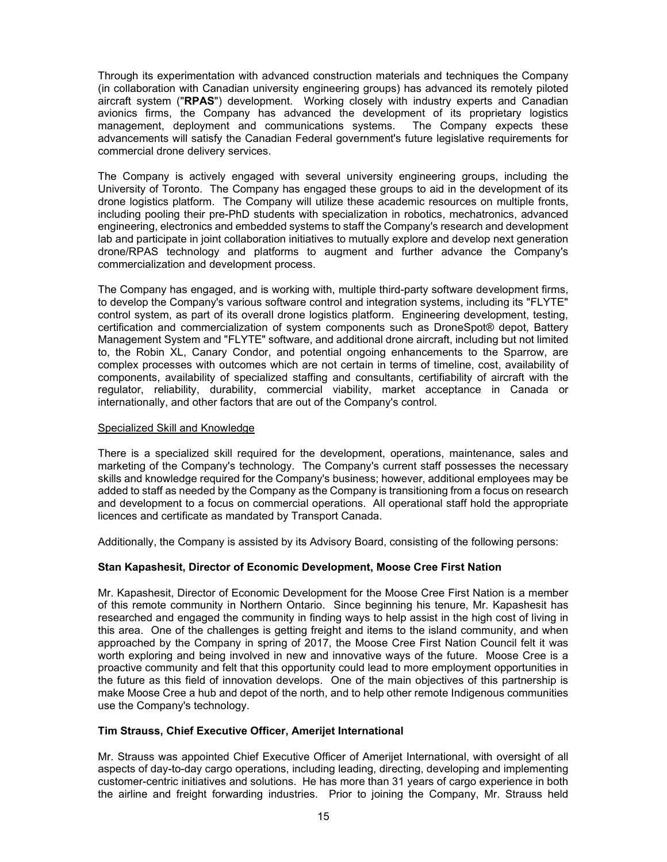Through its experimentation with advanced construction materials and techniques the Company (in collaboration with Canadian university engineering groups) has advanced its remotely piloted aircraft system ("**RPAS**") development. Working closely with industry experts and Canadian avionics firms, the Company has advanced the development of its proprietary logistics management, deployment and communications systems. The Company expects these advancements will satisfy the Canadian Federal government's future legislative requirements for commercial drone delivery services.

The Company is actively engaged with several university engineering groups, including the University of Toronto. The Company has engaged these groups to aid in the development of its drone logistics platform. The Company will utilize these academic resources on multiple fronts, including pooling their pre-PhD students with specialization in robotics, mechatronics, advanced engineering, electronics and embedded systems to staff the Company's research and development lab and participate in joint collaboration initiatives to mutually explore and develop next generation drone/RPAS technology and platforms to augment and further advance the Company's commercialization and development process.

The Company has engaged, and is working with, multiple third-party software development firms, to develop the Company's various software control and integration systems, including its "FLYTE" control system, as part of its overall drone logistics platform. Engineering development, testing, certification and commercialization of system components such as DroneSpot® depot, Battery Management System and "FLYTE" software, and additional drone aircraft, including but not limited to, the Robin XL, Canary Condor, and potential ongoing enhancements to the Sparrow, are complex processes with outcomes which are not certain in terms of timeline, cost, availability of components, availability of specialized staffing and consultants, certifiability of aircraft with the regulator, reliability, durability, commercial viability, market acceptance in Canada or internationally, and other factors that are out of the Company's control.

## Specialized Skill and Knowledge

There is a specialized skill required for the development, operations, maintenance, sales and marketing of the Company's technology. The Company's current staff possesses the necessary skills and knowledge required for the Company's business; however, additional employees may be added to staff as needed by the Company as the Company is transitioning from a focus on research and development to a focus on commercial operations. All operational staff hold the appropriate licences and certificate as mandated by Transport Canada.

Additionally, the Company is assisted by its Advisory Board, consisting of the following persons:

## **Stan Kapashesit, Director of Economic Development, Moose Cree First Nation**

Mr. Kapashesit, Director of Economic Development for the Moose Cree First Nation is a member of this remote community in Northern Ontario. Since beginning his tenure, Mr. Kapashesit has researched and engaged the community in finding ways to help assist in the high cost of living in this area. One of the challenges is getting freight and items to the island community, and when approached by the Company in spring of 2017, the Moose Cree First Nation Council felt it was worth exploring and being involved in new and innovative ways of the future. Moose Cree is a proactive community and felt that this opportunity could lead to more employment opportunities in the future as this field of innovation develops. One of the main objectives of this partnership is make Moose Cree a hub and depot of the north, and to help other remote Indigenous communities use the Company's technology.

#### **Tim Strauss, Chief Executive Officer, Amerijet International**

Mr. Strauss was appointed Chief Executive Officer of Amerijet International, with oversight of all aspects of day-to-day cargo operations, including leading, directing, developing and implementing customer-centric initiatives and solutions. He has more than 31 years of cargo experience in both the airline and freight forwarding industries. Prior to joining the Company, Mr. Strauss held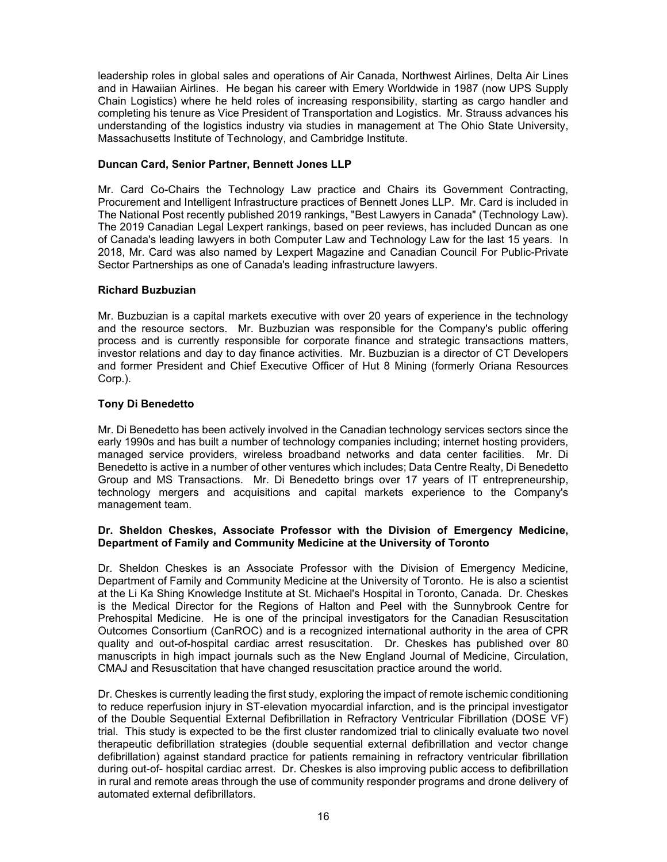leadership roles in global sales and operations of Air Canada, Northwest Airlines, Delta Air Lines and in Hawaiian Airlines. He began his career with Emery Worldwide in 1987 (now UPS Supply Chain Logistics) where he held roles of increasing responsibility, starting as cargo handler and completing his tenure as Vice President of Transportation and Logistics. Mr. Strauss advances his understanding of the logistics industry via studies in management at The Ohio State University, Massachusetts Institute of Technology, and Cambridge Institute.

## **Duncan Card, Senior Partner, Bennett Jones LLP**

Mr. Card Co-Chairs the Technology Law practice and Chairs its Government Contracting, Procurement and Intelligent Infrastructure practices of Bennett Jones LLP. Mr. Card is included in The National Post recently published 2019 rankings, "Best Lawyers in Canada" (Technology Law). The 2019 Canadian Legal Lexpert rankings, based on peer reviews, has included Duncan as one of Canada's leading lawyers in both Computer Law and Technology Law for the last 15 years. In 2018, Mr. Card was also named by Lexpert Magazine and Canadian Council For Public-Private Sector Partnerships as one of Canada's leading infrastructure lawyers.

## **Richard Buzbuzian**

Mr. Buzbuzian is a capital markets executive with over 20 years of experience in the technology and the resource sectors. Mr. Buzbuzian was responsible for the Company's public offering process and is currently responsible for corporate finance and strategic transactions matters, investor relations and day to day finance activities. Mr. Buzbuzian is a director of CT Developers and former President and Chief Executive Officer of Hut 8 Mining (formerly Oriana Resources Corp.).

## **Tony Di Benedetto**

Mr. Di Benedetto has been actively involved in the Canadian technology services sectors since the early 1990s and has built a number of technology companies including; internet hosting providers, managed service providers, wireless broadband networks and data center facilities. Mr. Di Benedetto is active in a number of other ventures which includes; Data Centre Realty, Di Benedetto Group and MS Transactions. Mr. Di Benedetto brings over 17 years of IT entrepreneurship, technology mergers and acquisitions and capital markets experience to the Company's management team.

## **Dr. Sheldon Cheskes, Associate Professor with the Division of Emergency Medicine, Department of Family and Community Medicine at the University of Toronto**

Dr. Sheldon Cheskes is an Associate Professor with the Division of Emergency Medicine, Department of Family and Community Medicine at the University of Toronto. He is also a scientist at the Li Ka Shing Knowledge Institute at St. Michael's Hospital in Toronto, Canada. Dr. Cheskes is the Medical Director for the Regions of Halton and Peel with the Sunnybrook Centre for Prehospital Medicine. He is one of the principal investigators for the Canadian Resuscitation Outcomes Consortium (CanROC) and is a recognized international authority in the area of CPR quality and out-of-hospital cardiac arrest resuscitation. Dr. Cheskes has published over 80 manuscripts in high impact journals such as the New England Journal of Medicine, Circulation, CMAJ and Resuscitation that have changed resuscitation practice around the world.

Dr. Cheskes is currently leading the first study, exploring the impact of remote ischemic conditioning to reduce reperfusion injury in ST-elevation myocardial infarction, and is the principal investigator of the Double Sequential External Defibrillation in Refractory Ventricular Fibrillation (DOSE VF) trial. This study is expected to be the first cluster randomized trial to clinically evaluate two novel therapeutic defibrillation strategies (double sequential external defibrillation and vector change defibrillation) against standard practice for patients remaining in refractory ventricular fibrillation during out-of- hospital cardiac arrest. Dr. Cheskes is also improving public access to defibrillation in rural and remote areas through the use of community responder programs and drone delivery of automated external defibrillators.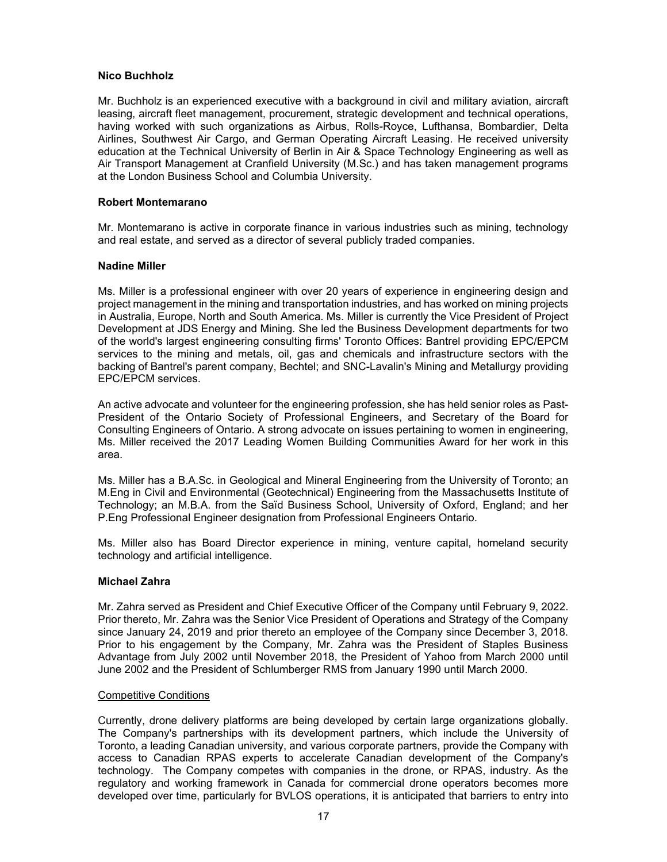#### **Nico Buchholz**

Mr. Buchholz is an experienced executive with a background in civil and military aviation, aircraft leasing, aircraft fleet management, procurement, strategic development and technical operations, having worked with such organizations as Airbus, Rolls-Royce, Lufthansa, Bombardier, Delta Airlines, Southwest Air Cargo, and German Operating Aircraft Leasing. He received university education at the Technical University of Berlin in Air & Space Technology Engineering as well as Air Transport Management at Cranfield University (M.Sc.) and has taken management programs at the London Business School and Columbia University.

#### **Robert Montemarano**

Mr. Montemarano is active in corporate finance in various industries such as mining, technology and real estate, and served as a director of several publicly traded companies.

#### **Nadine Miller**

Ms. Miller is a professional engineer with over 20 years of experience in engineering design and project management in the mining and transportation industries, and has worked on mining projects in Australia, Europe, North and South America. Ms. Miller is currently the Vice President of Project Development at JDS Energy and Mining. She led the Business Development departments for two of the world's largest engineering consulting firms' Toronto Offices: Bantrel providing EPC/EPCM services to the mining and metals, oil, gas and chemicals and infrastructure sectors with the backing of Bantrel's parent company, Bechtel; and SNC-Lavalin's Mining and Metallurgy providing EPC/EPCM services.

An active advocate and volunteer for the engineering profession, she has held senior roles as Past-President of the Ontario Society of Professional Engineers, and Secretary of the Board for Consulting Engineers of Ontario. A strong advocate on issues pertaining to women in engineering, Ms. Miller received the 2017 Leading Women Building Communities Award for her work in this area.

Ms. Miller has a B.A.Sc. in Geological and Mineral Engineering from the University of Toronto; an M.Eng in Civil and Environmental (Geotechnical) Engineering from the Massachusetts Institute of Technology; an M.B.A. from the Saïd Business School, University of Oxford, England; and her P.Eng Professional Engineer designation from Professional Engineers Ontario.

Ms. Miller also has Board Director experience in mining, venture capital, homeland security technology and artificial intelligence.

#### **Michael Zahra**

Mr. Zahra served as President and Chief Executive Officer of the Company until February 9, 2022. Prior thereto, Mr. Zahra was the Senior Vice President of Operations and Strategy of the Company since January 24, 2019 and prior thereto an employee of the Company since December 3, 2018. Prior to his engagement by the Company, Mr. Zahra was the President of Staples Business Advantage from July 2002 until November 2018, the President of Yahoo from March 2000 until June 2002 and the President of Schlumberger RMS from January 1990 until March 2000.

#### Competitive Conditions

Currently, drone delivery platforms are being developed by certain large organizations globally. The Company's partnerships with its development partners, which include the University of Toronto, a leading Canadian university, and various corporate partners, provide the Company with access to Canadian RPAS experts to accelerate Canadian development of the Company's technology. The Company competes with companies in the drone, or RPAS, industry. As the regulatory and working framework in Canada for commercial drone operators becomes more developed over time, particularly for BVLOS operations, it is anticipated that barriers to entry into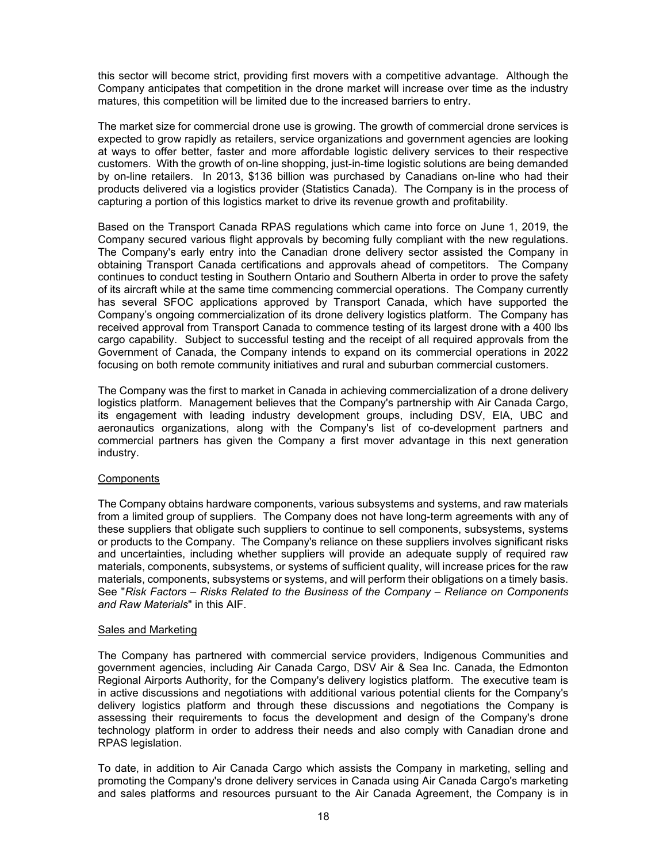this sector will become strict, providing first movers with a competitive advantage. Although the Company anticipates that competition in the drone market will increase over time as the industry matures, this competition will be limited due to the increased barriers to entry.

The market size for commercial drone use is growing. The growth of commercial drone services is expected to grow rapidly as retailers, service organizations and government agencies are looking at ways to offer better, faster and more affordable logistic delivery services to their respective customers. With the growth of on-line shopping, just-in-time logistic solutions are being demanded by on-line retailers. In 2013, \$136 billion was purchased by Canadians on-line who had their products delivered via a logistics provider (Statistics Canada). The Company is in the process of capturing a portion of this logistics market to drive its revenue growth and profitability.

Based on the Transport Canada RPAS regulations which came into force on June 1, 2019, the Company secured various flight approvals by becoming fully compliant with the new regulations. The Company's early entry into the Canadian drone delivery sector assisted the Company in obtaining Transport Canada certifications and approvals ahead of competitors. The Company continues to conduct testing in Southern Ontario and Southern Alberta in order to prove the safety of its aircraft while at the same time commencing commercial operations. The Company currently has several SFOC applications approved by Transport Canada, which have supported the Company's ongoing commercialization of its drone delivery logistics platform. The Company has received approval from Transport Canada to commence testing of its largest drone with a 400 lbs cargo capability. Subject to successful testing and the receipt of all required approvals from the Government of Canada, the Company intends to expand on its commercial operations in 2022 focusing on both remote community initiatives and rural and suburban commercial customers.

The Company was the first to market in Canada in achieving commercialization of a drone delivery logistics platform. Management believes that the Company's partnership with Air Canada Cargo, its engagement with leading industry development groups, including DSV, EIA, UBC and aeronautics organizations, along with the Company's list of co-development partners and commercial partners has given the Company a first mover advantage in this next generation industry.

#### **Components**

The Company obtains hardware components, various subsystems and systems, and raw materials from a limited group of suppliers. The Company does not have long-term agreements with any of these suppliers that obligate such suppliers to continue to sell components, subsystems, systems or products to the Company. The Company's reliance on these suppliers involves significant risks and uncertainties, including whether suppliers will provide an adequate supply of required raw materials, components, subsystems, or systems of sufficient quality, will increase prices for the raw materials, components, subsystems or systems, and will perform their obligations on a timely basis. See "*Risk Factors – Risks Related to the Business of the Company – Reliance on Components and Raw Materials*" in this AIF.

#### Sales and Marketing

The Company has partnered with commercial service providers, Indigenous Communities and government agencies, including Air Canada Cargo, DSV Air & Sea Inc. Canada, the Edmonton Regional Airports Authority, for the Company's delivery logistics platform. The executive team is in active discussions and negotiations with additional various potential clients for the Company's delivery logistics platform and through these discussions and negotiations the Company is assessing their requirements to focus the development and design of the Company's drone technology platform in order to address their needs and also comply with Canadian drone and RPAS legislation.

To date, in addition to Air Canada Cargo which assists the Company in marketing, selling and promoting the Company's drone delivery services in Canada using Air Canada Cargo's marketing and sales platforms and resources pursuant to the Air Canada Agreement, the Company is in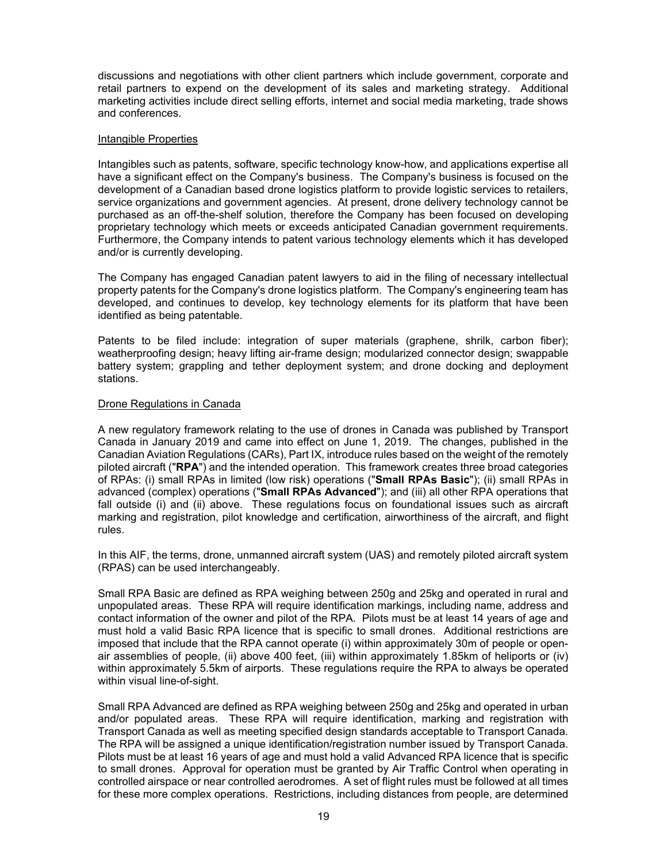discussions and negotiations with other client partners which include government, corporate and retail partners to expend on the development of its sales and marketing strategy. Additional marketing activities include direct selling efforts, internet and social media marketing, trade shows and conferences.

#### Intangible Properties

Intangibles such as patents, software, specific technology know-how, and applications expertise all have a significant effect on the Company's business. The Company's business is focused on the development of a Canadian based drone logistics platform to provide logistic services to retailers, service organizations and government agencies. At present, drone delivery technology cannot be purchased as an off-the-shelf solution, therefore the Company has been focused on developing proprietary technology which meets or exceeds anticipated Canadian government requirements. Furthermore, the Company intends to patent various technology elements which it has developed and/or is currently developing.

The Company has engaged Canadian patent lawyers to aid in the filing of necessary intellectual property patents for the Company's drone logistics platform. The Company's engineering team has developed, and continues to develop, key technology elements for its platform that have been identified as being patentable.

Patents to be filed include: integration of super materials (graphene, shrilk, carbon fiber); weatherproofing design; heavy lifting air-frame design; modularized connector design; swappable battery system; grappling and tether deployment system; and drone docking and deployment stations.

#### Drone Regulations in Canada

A new regulatory framework relating to the use of drones in Canada was published by Transport Canada in January 2019 and came into effect on June 1, 2019. The changes, published in the Canadian Aviation Regulations (CARs), Part IX, introduce rules based on the weight of the remotely piloted aircraft ("**RPA**") and the intended operation. This framework creates three broad categories of RPAs: (i) small RPAs in limited (low risk) operations ("**Small RPAs Basic**"); (ii) small RPAs in advanced (complex) operations ("**Small RPAs Advanced**"); and (iii) all other RPA operations that fall outside (i) and (ii) above. These regulations focus on foundational issues such as aircraft marking and registration, pilot knowledge and certification, airworthiness of the aircraft, and flight rules.

In this AIF, the terms, drone, unmanned aircraft system (UAS) and remotely piloted aircraft system (RPAS) can be used interchangeably.

Small RPA Basic are defined as RPA weighing between 250g and 25kg and operated in rural and unpopulated areas. These RPA will require identification markings, including name, address and contact information of the owner and pilot of the RPA. Pilots must be at least 14 years of age and must hold a valid Basic RPA licence that is specific to small drones. Additional restrictions are imposed that include that the RPA cannot operate (i) within approximately 30m of people or openair assemblies of people, (ii) above 400 feet, (iii) within approximately 1.85km of heliports or (iv) within approximately 5.5km of airports. These regulations require the RPA to always be operated within visual line-of-sight.

Small RPA Advanced are defined as RPA weighing between 250g and 25kg and operated in urban and/or populated areas. These RPA will require identification, marking and registration with Transport Canada as well as meeting specified design standards acceptable to Transport Canada. The RPA will be assigned a unique identification/registration number issued by Transport Canada. Pilots must be at least 16 years of age and must hold a valid Advanced RPA licence that is specific to small drones. Approval for operation must be granted by Air Traffic Control when operating in controlled airspace or near controlled aerodromes. A set of flight rules must be followed at all times for these more complex operations. Restrictions, including distances from people, are determined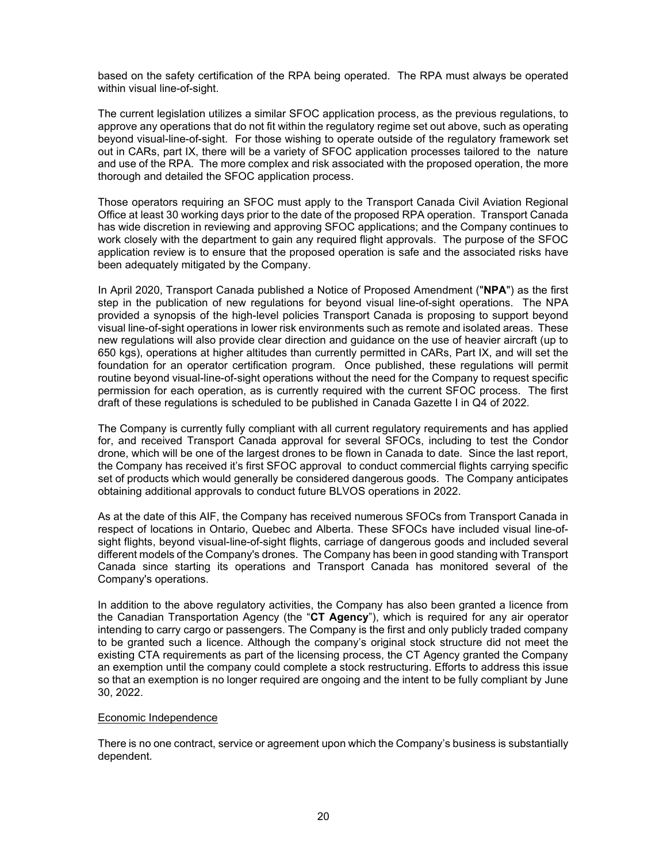based on the safety certification of the RPA being operated. The RPA must always be operated within visual line-of-sight.

The current legislation utilizes a similar SFOC application process, as the previous regulations, to approve any operations that do not fit within the regulatory regime set out above, such as operating beyond visual-line-of-sight. For those wishing to operate outside of the regulatory framework set out in CARs, part IX, there will be a variety of SFOC application processes tailored to the nature and use of the RPA. The more complex and risk associated with the proposed operation, the more thorough and detailed the SFOC application process.

Those operators requiring an SFOC must apply to the Transport Canada Civil Aviation Regional Office at least 30 working days prior to the date of the proposed RPA operation. Transport Canada has wide discretion in reviewing and approving SFOC applications; and the Company continues to work closely with the department to gain any required flight approvals. The purpose of the SFOC application review is to ensure that the proposed operation is safe and the associated risks have been adequately mitigated by the Company.

In April 2020, Transport Canada published a Notice of Proposed Amendment ("**NPA**") as the first step in the publication of new regulations for beyond visual line-of-sight operations. The NPA provided a synopsis of the high-level policies Transport Canada is proposing to support beyond visual line-of-sight operations in lower risk environments such as remote and isolated areas. These new regulations will also provide clear direction and guidance on the use of heavier aircraft (up to 650 kgs), operations at higher altitudes than currently permitted in CARs, Part IX, and will set the foundation for an operator certification program. Once published, these regulations will permit routine beyond visual-line-of-sight operations without the need for the Company to request specific permission for each operation, as is currently required with the current SFOC process. The first draft of these regulations is scheduled to be published in Canada Gazette I in Q4 of 2022.

The Company is currently fully compliant with all current regulatory requirements and has applied for, and received Transport Canada approval for several SFOCs, including to test the Condor drone, which will be one of the largest drones to be flown in Canada to date. Since the last report, the Company has received it's first SFOC approval to conduct commercial flights carrying specific set of products which would generally be considered dangerous goods. The Company anticipates obtaining additional approvals to conduct future BLVOS operations in 2022.

As at the date of this AIF, the Company has received numerous SFOCs from Transport Canada in respect of locations in Ontario, Quebec and Alberta. These SFOCs have included visual line-ofsight flights, beyond visual-line-of-sight flights, carriage of dangerous goods and included several different models of the Company's drones. The Company has been in good standing with Transport Canada since starting its operations and Transport Canada has monitored several of the Company's operations.

In addition to the above regulatory activities, the Company has also been granted a licence from the Canadian Transportation Agency (the "**CT Agency**"), which is required for any air operator intending to carry cargo or passengers. The Company is the first and only publicly traded company to be granted such a licence. Although the company's original stock structure did not meet the existing CTA requirements as part of the licensing process, the CT Agency granted the Company an exemption until the company could complete a stock restructuring. Efforts to address this issue so that an exemption is no longer required are ongoing and the intent to be fully compliant by June 30, 2022.

#### Economic Independence

There is no one contract, service or agreement upon which the Company's business is substantially dependent.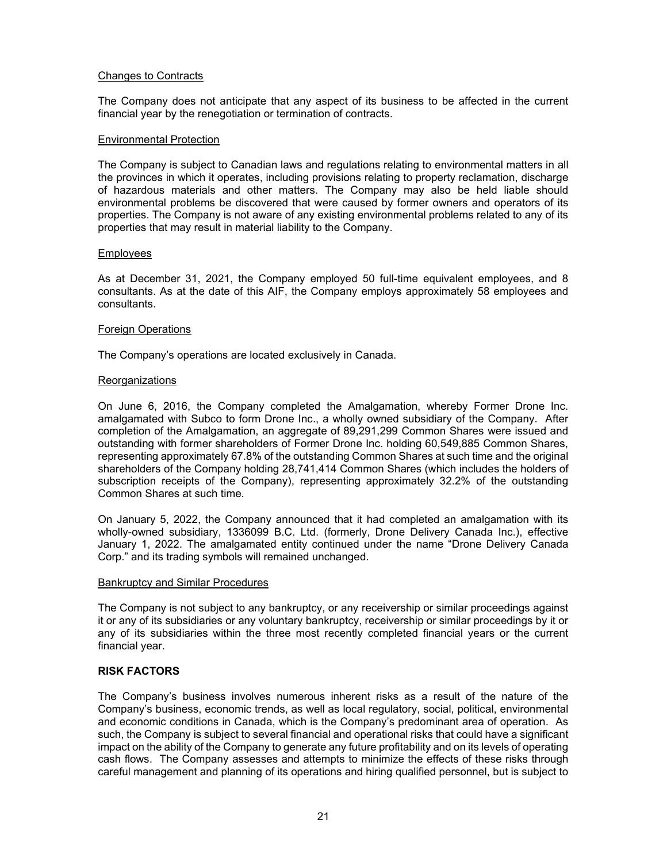#### Changes to Contracts

The Company does not anticipate that any aspect of its business to be affected in the current financial year by the renegotiation or termination of contracts.

#### Environmental Protection

The Company is subject to Canadian laws and regulations relating to environmental matters in all the provinces in which it operates, including provisions relating to property reclamation, discharge of hazardous materials and other matters. The Company may also be held liable should environmental problems be discovered that were caused by former owners and operators of its properties. The Company is not aware of any existing environmental problems related to any of its properties that may result in material liability to the Company.

#### Employees

As at December 31, 2021, the Company employed 50 full-time equivalent employees, and 8 consultants. As at the date of this AIF, the Company employs approximately 58 employees and consultants.

#### Foreign Operations

The Company's operations are located exclusively in Canada.

#### Reorganizations

On June 6, 2016, the Company completed the Amalgamation, whereby Former Drone Inc. amalgamated with Subco to form Drone Inc., a wholly owned subsidiary of the Company. After completion of the Amalgamation, an aggregate of 89,291,299 Common Shares were issued and outstanding with former shareholders of Former Drone Inc. holding 60,549,885 Common Shares, representing approximately 67.8% of the outstanding Common Shares at such time and the original shareholders of the Company holding 28,741,414 Common Shares (which includes the holders of subscription receipts of the Company), representing approximately 32.2% of the outstanding Common Shares at such time.

On January 5, 2022, the Company announced that it had completed an amalgamation with its wholly-owned subsidiary, 1336099 B.C. Ltd. (formerly, Drone Delivery Canada Inc.), effective January 1, 2022. The amalgamated entity continued under the name "Drone Delivery Canada Corp." and its trading symbols will remained unchanged.

#### Bankruptcy and Similar Procedures

The Company is not subject to any bankruptcy, or any receivership or similar proceedings against it or any of its subsidiaries or any voluntary bankruptcy, receivership or similar proceedings by it or any of its subsidiaries within the three most recently completed financial years or the current financial year.

#### **RISK FACTORS**

The Company's business involves numerous inherent risks as a result of the nature of the Company's business, economic trends, as well as local regulatory, social, political, environmental and economic conditions in Canada, which is the Company's predominant area of operation. As such, the Company is subject to several financial and operational risks that could have a significant impact on the ability of the Company to generate any future profitability and on its levels of operating cash flows. The Company assesses and attempts to minimize the effects of these risks through careful management and planning of its operations and hiring qualified personnel, but is subject to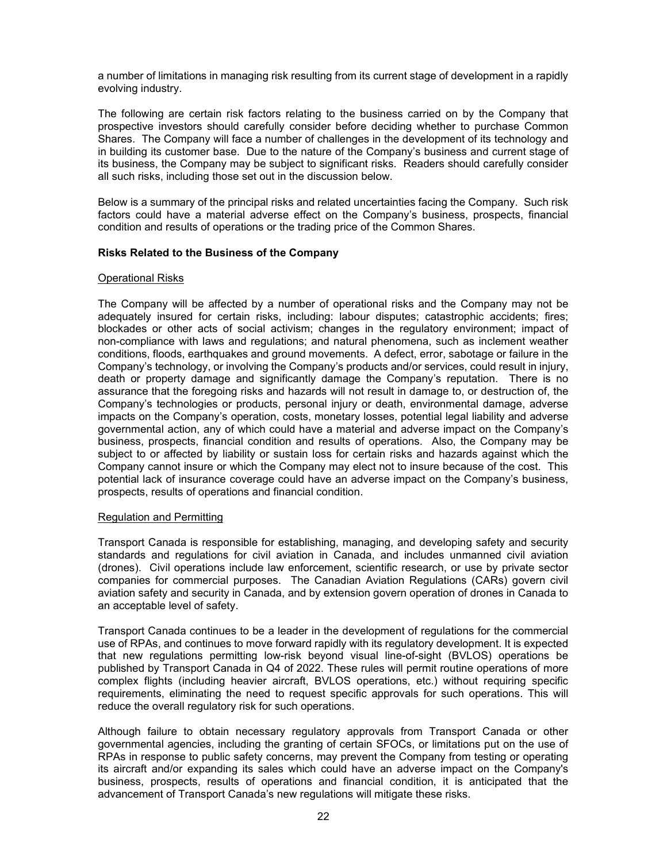a number of limitations in managing risk resulting from its current stage of development in a rapidly evolving industry.

The following are certain risk factors relating to the business carried on by the Company that prospective investors should carefully consider before deciding whether to purchase Common Shares. The Company will face a number of challenges in the development of its technology and in building its customer base. Due to the nature of the Company's business and current stage of its business, the Company may be subject to significant risks. Readers should carefully consider all such risks, including those set out in the discussion below.

Below is a summary of the principal risks and related uncertainties facing the Company. Such risk factors could have a material adverse effect on the Company's business, prospects, financial condition and results of operations or the trading price of the Common Shares.

#### **Risks Related to the Business of the Company**

#### Operational Risks

The Company will be affected by a number of operational risks and the Company may not be adequately insured for certain risks, including: labour disputes; catastrophic accidents; fires; blockades or other acts of social activism; changes in the regulatory environment; impact of non-compliance with laws and regulations; and natural phenomena, such as inclement weather conditions, floods, earthquakes and ground movements. A defect, error, sabotage or failure in the Company's technology, or involving the Company's products and/or services, could result in injury, death or property damage and significantly damage the Company's reputation. There is no assurance that the foregoing risks and hazards will not result in damage to, or destruction of, the Company's technologies or products, personal injury or death, environmental damage, adverse impacts on the Company's operation, costs, monetary losses, potential legal liability and adverse governmental action, any of which could have a material and adverse impact on the Company's business, prospects, financial condition and results of operations. Also, the Company may be subject to or affected by liability or sustain loss for certain risks and hazards against which the Company cannot insure or which the Company may elect not to insure because of the cost. This potential lack of insurance coverage could have an adverse impact on the Company's business, prospects, results of operations and financial condition.

#### Regulation and Permitting

Transport Canada is responsible for establishing, managing, and developing safety and security standards and regulations for civil aviation in Canada, and includes unmanned civil aviation (drones). Civil operations include law enforcement, scientific research, or use by private sector companies for commercial purposes. The Canadian Aviation Regulations (CARs) govern civil aviation safety and security in Canada, and by extension govern operation of drones in Canada to an acceptable level of safety.

Transport Canada continues to be a leader in the development of regulations for the commercial use of RPAs, and continues to move forward rapidly with its regulatory development. It is expected that new regulations permitting low-risk beyond visual line-of-sight (BVLOS) operations be published by Transport Canada in Q4 of 2022. These rules will permit routine operations of more complex flights (including heavier aircraft, BVLOS operations, etc.) without requiring specific requirements, eliminating the need to request specific approvals for such operations. This will reduce the overall regulatory risk for such operations.

Although failure to obtain necessary regulatory approvals from Transport Canada or other governmental agencies, including the granting of certain SFOCs, or limitations put on the use of RPAs in response to public safety concerns, may prevent the Company from testing or operating its aircraft and/or expanding its sales which could have an adverse impact on the Company's business, prospects, results of operations and financial condition, it is anticipated that the advancement of Transport Canada's new regulations will mitigate these risks.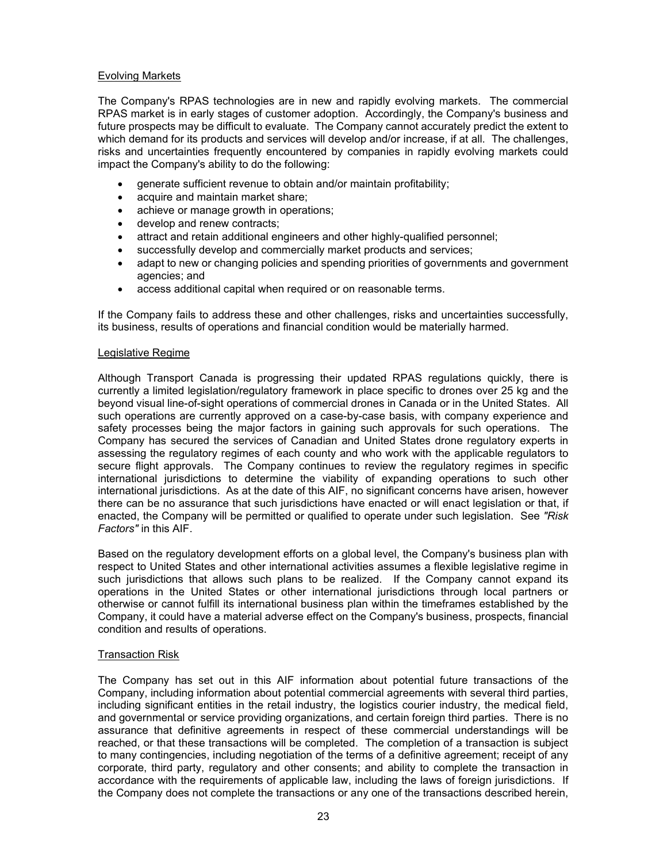## Evolving Markets

The Company's RPAS technologies are in new and rapidly evolving markets. The commercial RPAS market is in early stages of customer adoption. Accordingly, the Company's business and future prospects may be difficult to evaluate. The Company cannot accurately predict the extent to which demand for its products and services will develop and/or increase, if at all. The challenges, risks and uncertainties frequently encountered by companies in rapidly evolving markets could impact the Company's ability to do the following:

- generate sufficient revenue to obtain and/or maintain profitability;
- acquire and maintain market share;
- achieve or manage growth in operations;
- develop and renew contracts;
- attract and retain additional engineers and other highly-qualified personnel;
- successfully develop and commercially market products and services;
- adapt to new or changing policies and spending priorities of governments and government agencies; and
- access additional capital when required or on reasonable terms.

If the Company fails to address these and other challenges, risks and uncertainties successfully, its business, results of operations and financial condition would be materially harmed.

#### Legislative Regime

Although Transport Canada is progressing their updated RPAS regulations quickly, there is currently a limited legislation/regulatory framework in place specific to drones over 25 kg and the beyond visual line-of-sight operations of commercial drones in Canada or in the United States. All such operations are currently approved on a case-by-case basis, with company experience and safety processes being the major factors in gaining such approvals for such operations. The Company has secured the services of Canadian and United States drone regulatory experts in assessing the regulatory regimes of each county and who work with the applicable regulators to secure flight approvals. The Company continues to review the regulatory regimes in specific international jurisdictions to determine the viability of expanding operations to such other international jurisdictions. As at the date of this AIF, no significant concerns have arisen, however there can be no assurance that such jurisdictions have enacted or will enact legislation or that, if enacted, the Company will be permitted or qualified to operate under such legislation. See *"Risk Factors"* in this AIF.

Based on the regulatory development efforts on a global level, the Company's business plan with respect to United States and other international activities assumes a flexible legislative regime in such jurisdictions that allows such plans to be realized. If the Company cannot expand its operations in the United States or other international jurisdictions through local partners or otherwise or cannot fulfill its international business plan within the timeframes established by the Company, it could have a material adverse effect on the Company's business, prospects, financial condition and results of operations.

#### Transaction Risk

The Company has set out in this AIF information about potential future transactions of the Company, including information about potential commercial agreements with several third parties, including significant entities in the retail industry, the logistics courier industry, the medical field, and governmental or service providing organizations, and certain foreign third parties. There is no assurance that definitive agreements in respect of these commercial understandings will be reached, or that these transactions will be completed. The completion of a transaction is subject to many contingencies, including negotiation of the terms of a definitive agreement; receipt of any corporate, third party, regulatory and other consents; and ability to complete the transaction in accordance with the requirements of applicable law, including the laws of foreign jurisdictions. If the Company does not complete the transactions or any one of the transactions described herein,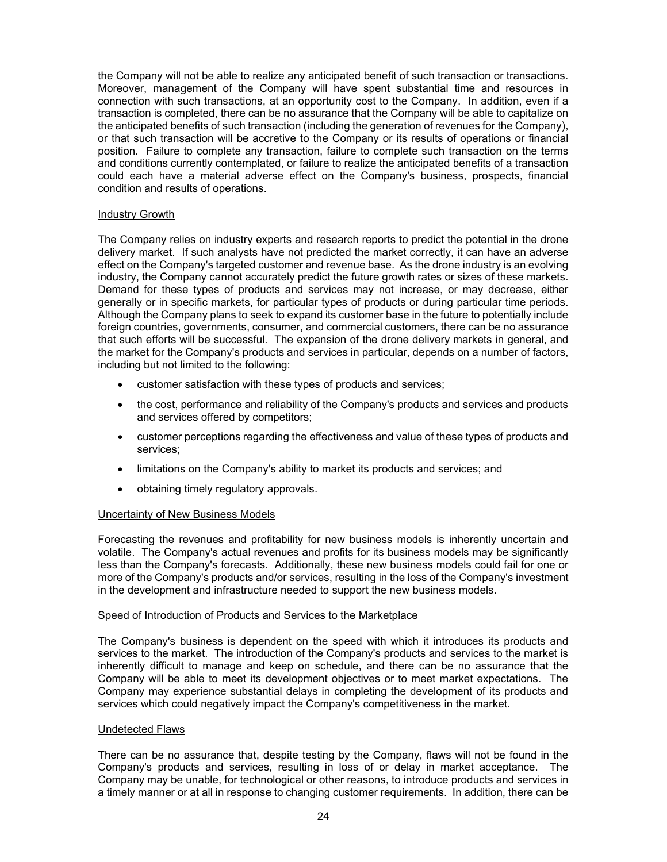the Company will not be able to realize any anticipated benefit of such transaction or transactions. Moreover, management of the Company will have spent substantial time and resources in connection with such transactions, at an opportunity cost to the Company. In addition, even if a transaction is completed, there can be no assurance that the Company will be able to capitalize on the anticipated benefits of such transaction (including the generation of revenues for the Company), or that such transaction will be accretive to the Company or its results of operations or financial position. Failure to complete any transaction, failure to complete such transaction on the terms and conditions currently contemplated, or failure to realize the anticipated benefits of a transaction could each have a material adverse effect on the Company's business, prospects, financial condition and results of operations.

## Industry Growth

The Company relies on industry experts and research reports to predict the potential in the drone delivery market. If such analysts have not predicted the market correctly, it can have an adverse effect on the Company's targeted customer and revenue base. As the drone industry is an evolving industry, the Company cannot accurately predict the future growth rates or sizes of these markets. Demand for these types of products and services may not increase, or may decrease, either generally or in specific markets, for particular types of products or during particular time periods. Although the Company plans to seek to expand its customer base in the future to potentially include foreign countries, governments, consumer, and commercial customers, there can be no assurance that such efforts will be successful. The expansion of the drone delivery markets in general, and the market for the Company's products and services in particular, depends on a number of factors, including but not limited to the following:

- customer satisfaction with these types of products and services;
- the cost, performance and reliability of the Company's products and services and products and services offered by competitors;
- customer perceptions regarding the effectiveness and value of these types of products and services;
- limitations on the Company's ability to market its products and services; and
- obtaining timely regulatory approvals.

#### Uncertainty of New Business Models

Forecasting the revenues and profitability for new business models is inherently uncertain and volatile. The Company's actual revenues and profits for its business models may be significantly less than the Company's forecasts. Additionally, these new business models could fail for one or more of the Company's products and/or services, resulting in the loss of the Company's investment in the development and infrastructure needed to support the new business models.

#### Speed of Introduction of Products and Services to the Marketplace

The Company's business is dependent on the speed with which it introduces its products and services to the market. The introduction of the Company's products and services to the market is inherently difficult to manage and keep on schedule, and there can be no assurance that the Company will be able to meet its development objectives or to meet market expectations. The Company may experience substantial delays in completing the development of its products and services which could negatively impact the Company's competitiveness in the market.

#### Undetected Flaws

There can be no assurance that, despite testing by the Company, flaws will not be found in the Company's products and services, resulting in loss of or delay in market acceptance. The Company may be unable, for technological or other reasons, to introduce products and services in a timely manner or at all in response to changing customer requirements. In addition, there can be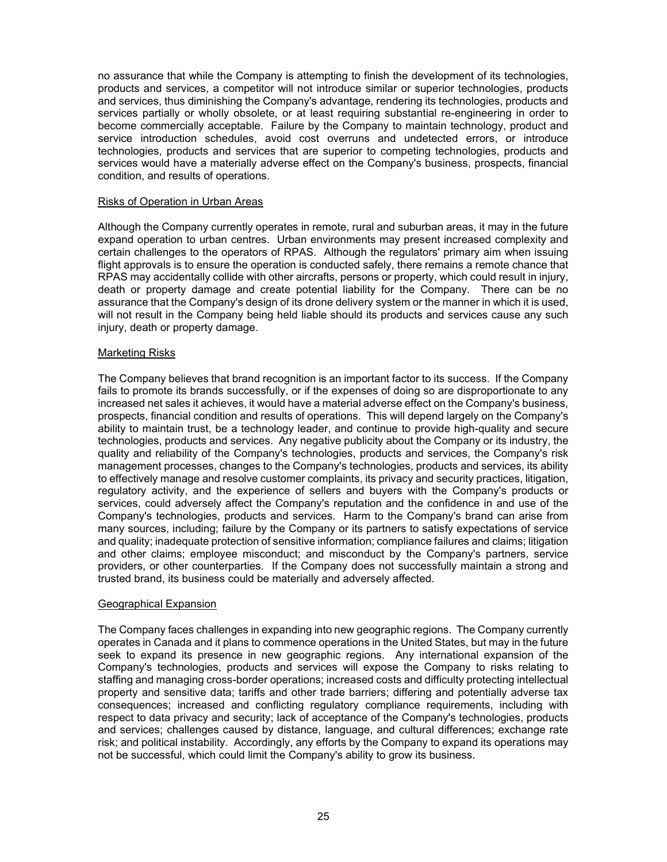no assurance that while the Company is attempting to finish the development of its technologies, products and services, a competitor will not introduce similar or superior technologies, products and services, thus diminishing the Company's advantage, rendering its technologies, products and services partially or wholly obsolete, or at least requiring substantial re-engineering in order to become commercially acceptable. Failure by the Company to maintain technology, product and service introduction schedules, avoid cost overruns and undetected errors, or introduce technologies, products and services that are superior to competing technologies, products and services would have a materially adverse effect on the Company's business, prospects, financial condition, and results of operations.

#### Risks of Operation in Urban Areas

Although the Company currently operates in remote, rural and suburban areas, it may in the future expand operation to urban centres. Urban environments may present increased complexity and certain challenges to the operators of RPAS. Although the regulators' primary aim when issuing flight approvals is to ensure the operation is conducted safely, there remains a remote chance that RPAS may accidentally collide with other aircrafts, persons or property, which could result in injury, death or property damage and create potential liability for the Company. There can be no assurance that the Company's design of its drone delivery system or the manner in which it is used, will not result in the Company being held liable should its products and services cause any such injury, death or property damage.

#### Marketing Risks

The Company believes that brand recognition is an important factor to its success. If the Company fails to promote its brands successfully, or if the expenses of doing so are disproportionate to any increased net sales it achieves, it would have a material adverse effect on the Company's business, prospects, financial condition and results of operations. This will depend largely on the Company's ability to maintain trust, be a technology leader, and continue to provide high-quality and secure technologies, products and services. Any negative publicity about the Company or its industry, the quality and reliability of the Company's technologies, products and services, the Company's risk management processes, changes to the Company's technologies, products and services, its ability to effectively manage and resolve customer complaints, its privacy and security practices, litigation, regulatory activity, and the experience of sellers and buyers with the Company's products or services, could adversely affect the Company's reputation and the confidence in and use of the Company's technologies, products and services. Harm to the Company's brand can arise from many sources, including; failure by the Company or its partners to satisfy expectations of service and quality; inadequate protection of sensitive information; compliance failures and claims; litigation and other claims; employee misconduct; and misconduct by the Company's partners, service providers, or other counterparties. If the Company does not successfully maintain a strong and trusted brand, its business could be materially and adversely affected.

#### Geographical Expansion

The Company faces challenges in expanding into new geographic regions. The Company currently operates in Canada and it plans to commence operations in the United States, but may in the future seek to expand its presence in new geographic regions. Any international expansion of the Company's technologies, products and services will expose the Company to risks relating to staffing and managing cross-border operations; increased costs and difficulty protecting intellectual property and sensitive data; tariffs and other trade barriers; differing and potentially adverse tax consequences; increased and conflicting regulatory compliance requirements, including with respect to data privacy and security; lack of acceptance of the Company's technologies, products and services; challenges caused by distance, language, and cultural differences; exchange rate risk; and political instability. Accordingly, any efforts by the Company to expand its operations may not be successful, which could limit the Company's ability to grow its business.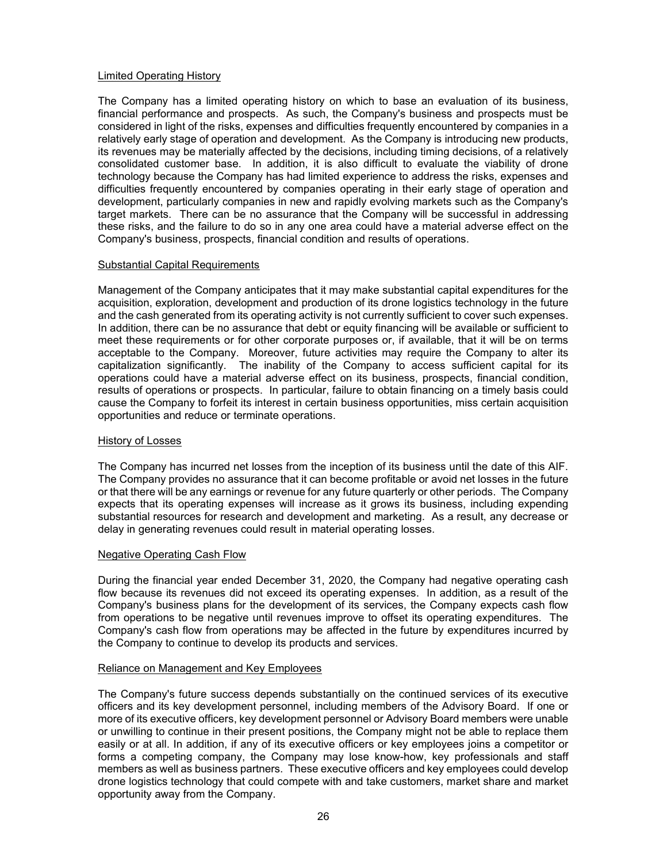#### Limited Operating History

The Company has a limited operating history on which to base an evaluation of its business, financial performance and prospects. As such, the Company's business and prospects must be considered in light of the risks, expenses and difficulties frequently encountered by companies in a relatively early stage of operation and development. As the Company is introducing new products, its revenues may be materially affected by the decisions, including timing decisions, of a relatively consolidated customer base. In addition, it is also difficult to evaluate the viability of drone technology because the Company has had limited experience to address the risks, expenses and difficulties frequently encountered by companies operating in their early stage of operation and development, particularly companies in new and rapidly evolving markets such as the Company's target markets. There can be no assurance that the Company will be successful in addressing these risks, and the failure to do so in any one area could have a material adverse effect on the Company's business, prospects, financial condition and results of operations.

## Substantial Capital Requirements

Management of the Company anticipates that it may make substantial capital expenditures for the acquisition, exploration, development and production of its drone logistics technology in the future and the cash generated from its operating activity is not currently sufficient to cover such expenses. In addition, there can be no assurance that debt or equity financing will be available or sufficient to meet these requirements or for other corporate purposes or, if available, that it will be on terms acceptable to the Company. Moreover, future activities may require the Company to alter its capitalization significantly. The inability of the Company to access sufficient capital for its operations could have a material adverse effect on its business, prospects, financial condition, results of operations or prospects. In particular, failure to obtain financing on a timely basis could cause the Company to forfeit its interest in certain business opportunities, miss certain acquisition opportunities and reduce or terminate operations.

#### History of Losses

The Company has incurred net losses from the inception of its business until the date of this AIF. The Company provides no assurance that it can become profitable or avoid net losses in the future or that there will be any earnings or revenue for any future quarterly or other periods. The Company expects that its operating expenses will increase as it grows its business, including expending substantial resources for research and development and marketing. As a result, any decrease or delay in generating revenues could result in material operating losses.

## Negative Operating Cash Flow

During the financial year ended December 31, 2020, the Company had negative operating cash flow because its revenues did not exceed its operating expenses. In addition, as a result of the Company's business plans for the development of its services, the Company expects cash flow from operations to be negative until revenues improve to offset its operating expenditures. The Company's cash flow from operations may be affected in the future by expenditures incurred by the Company to continue to develop its products and services.

#### Reliance on Management and Key Employees

The Company's future success depends substantially on the continued services of its executive officers and its key development personnel, including members of the Advisory Board. If one or more of its executive officers, key development personnel or Advisory Board members were unable or unwilling to continue in their present positions, the Company might not be able to replace them easily or at all. In addition, if any of its executive officers or key employees joins a competitor or forms a competing company, the Company may lose know-how, key professionals and staff members as well as business partners. These executive officers and key employees could develop drone logistics technology that could compete with and take customers, market share and market opportunity away from the Company.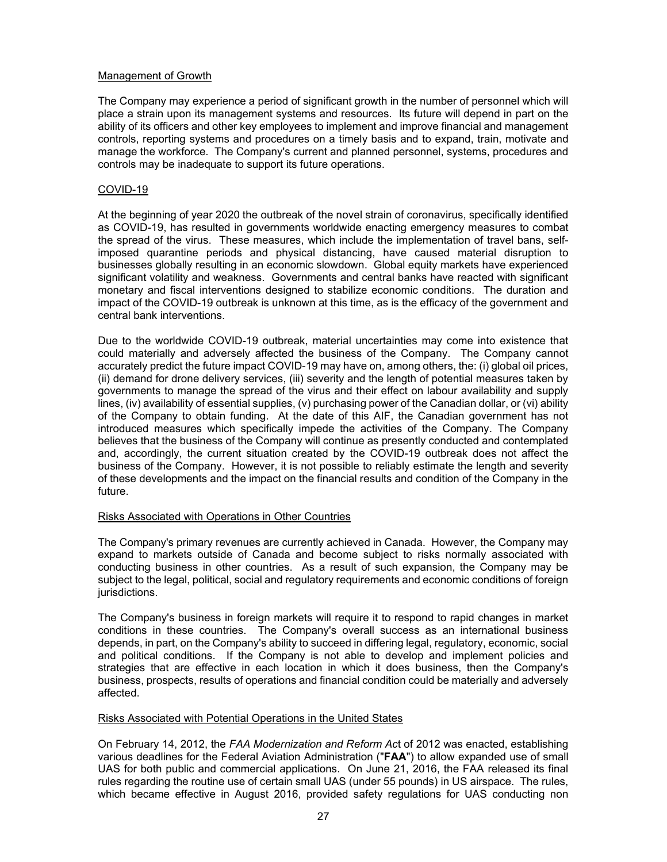## Management of Growth

The Company may experience a period of significant growth in the number of personnel which will place a strain upon its management systems and resources. Its future will depend in part on the ability of its officers and other key employees to implement and improve financial and management controls, reporting systems and procedures on a timely basis and to expand, train, motivate and manage the workforce. The Company's current and planned personnel, systems, procedures and controls may be inadequate to support its future operations.

## COVID-19

At the beginning of year 2020 the outbreak of the novel strain of coronavirus, specifically identified as COVID-19, has resulted in governments worldwide enacting emergency measures to combat the spread of the virus. These measures, which include the implementation of travel bans, selfimposed quarantine periods and physical distancing, have caused material disruption to businesses globally resulting in an economic slowdown. Global equity markets have experienced significant volatility and weakness. Governments and central banks have reacted with significant monetary and fiscal interventions designed to stabilize economic conditions. The duration and impact of the COVID-19 outbreak is unknown at this time, as is the efficacy of the government and central bank interventions.

Due to the worldwide COVID-19 outbreak, material uncertainties may come into existence that could materially and adversely affected the business of the Company. The Company cannot accurately predict the future impact COVID-19 may have on, among others, the: (i) global oil prices, (ii) demand for drone delivery services, (iii) severity and the length of potential measures taken by governments to manage the spread of the virus and their effect on labour availability and supply lines, (iv) availability of essential supplies, (v) purchasing power of the Canadian dollar, or (vi) ability of the Company to obtain funding. At the date of this AIF, the Canadian government has not introduced measures which specifically impede the activities of the Company. The Company believes that the business of the Company will continue as presently conducted and contemplated and, accordingly, the current situation created by the COVID-19 outbreak does not affect the business of the Company. However, it is not possible to reliably estimate the length and severity of these developments and the impact on the financial results and condition of the Company in the future.

#### Risks Associated with Operations in Other Countries

The Company's primary revenues are currently achieved in Canada. However, the Company may expand to markets outside of Canada and become subject to risks normally associated with conducting business in other countries. As a result of such expansion, the Company may be subject to the legal, political, social and regulatory requirements and economic conditions of foreign jurisdictions.

The Company's business in foreign markets will require it to respond to rapid changes in market conditions in these countries. The Company's overall success as an international business depends, in part, on the Company's ability to succeed in differing legal, regulatory, economic, social and political conditions. If the Company is not able to develop and implement policies and strategies that are effective in each location in which it does business, then the Company's business, prospects, results of operations and financial condition could be materially and adversely affected.

#### Risks Associated with Potential Operations in the United States

On February 14, 2012, the *FAA Modernization and Reform Ac*t of 2012 was enacted, establishing various deadlines for the Federal Aviation Administration ("**FAA**") to allow expanded use of small UAS for both public and commercial applications. On June 21, 2016, the FAA released its final rules regarding the routine use of certain small UAS (under 55 pounds) in US airspace. The rules, which became effective in August 2016, provided safety regulations for UAS conducting non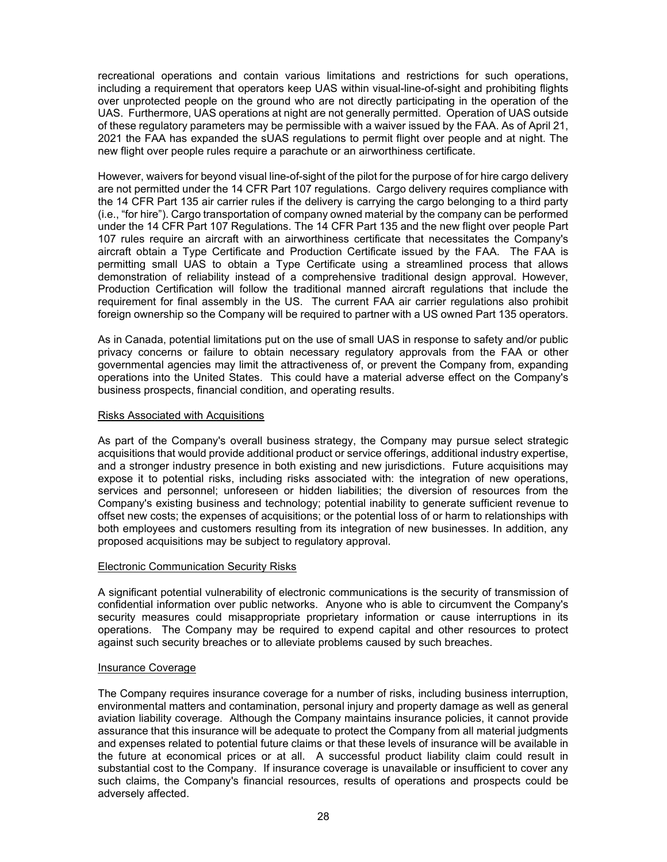recreational operations and contain various limitations and restrictions for such operations, including a requirement that operators keep UAS within visual-line-of-sight and prohibiting flights over unprotected people on the ground who are not directly participating in the operation of the UAS. Furthermore, UAS operations at night are not generally permitted. Operation of UAS outside of these regulatory parameters may be permissible with a waiver issued by the FAA. As of April 21, 2021 the FAA has expanded the sUAS regulations to permit flight over people and at night. The new flight over people rules require a parachute or an airworthiness certificate.

However, waivers for beyond visual line-of-sight of the pilot for the purpose of for hire cargo delivery are not permitted under the 14 CFR Part 107 regulations. Cargo delivery requires compliance with the 14 CFR Part 135 air carrier rules if the delivery is carrying the cargo belonging to a third party (i.e., "for hire"). Cargo transportation of company owned material by the company can be performed under the 14 CFR Part 107 Regulations. The 14 CFR Part 135 and the new flight over people Part 107 rules require an aircraft with an airworthiness certificate that necessitates the Company's aircraft obtain a Type Certificate and Production Certificate issued by the FAA. The FAA is permitting small UAS to obtain a Type Certificate using a streamlined process that allows demonstration of reliability instead of a comprehensive traditional design approval. However, Production Certification will follow the traditional manned aircraft regulations that include the requirement for final assembly in the US. The current FAA air carrier regulations also prohibit foreign ownership so the Company will be required to partner with a US owned Part 135 operators.

As in Canada, potential limitations put on the use of small UAS in response to safety and/or public privacy concerns or failure to obtain necessary regulatory approvals from the FAA or other governmental agencies may limit the attractiveness of, or prevent the Company from, expanding operations into the United States. This could have a material adverse effect on the Company's business prospects, financial condition, and operating results.

#### Risks Associated with Acquisitions

As part of the Company's overall business strategy, the Company may pursue select strategic acquisitions that would provide additional product or service offerings, additional industry expertise, and a stronger industry presence in both existing and new jurisdictions. Future acquisitions may expose it to potential risks, including risks associated with: the integration of new operations, services and personnel; unforeseen or hidden liabilities; the diversion of resources from the Company's existing business and technology; potential inability to generate sufficient revenue to offset new costs; the expenses of acquisitions; or the potential loss of or harm to relationships with both employees and customers resulting from its integration of new businesses. In addition, any proposed acquisitions may be subject to regulatory approval.

#### Electronic Communication Security Risks

A significant potential vulnerability of electronic communications is the security of transmission of confidential information over public networks. Anyone who is able to circumvent the Company's security measures could misappropriate proprietary information or cause interruptions in its operations. The Company may be required to expend capital and other resources to protect against such security breaches or to alleviate problems caused by such breaches.

#### Insurance Coverage

The Company requires insurance coverage for a number of risks, including business interruption, environmental matters and contamination, personal injury and property damage as well as general aviation liability coverage. Although the Company maintains insurance policies, it cannot provide assurance that this insurance will be adequate to protect the Company from all material judgments and expenses related to potential future claims or that these levels of insurance will be available in the future at economical prices or at all. A successful product liability claim could result in substantial cost to the Company. If insurance coverage is unavailable or insufficient to cover any such claims, the Company's financial resources, results of operations and prospects could be adversely affected.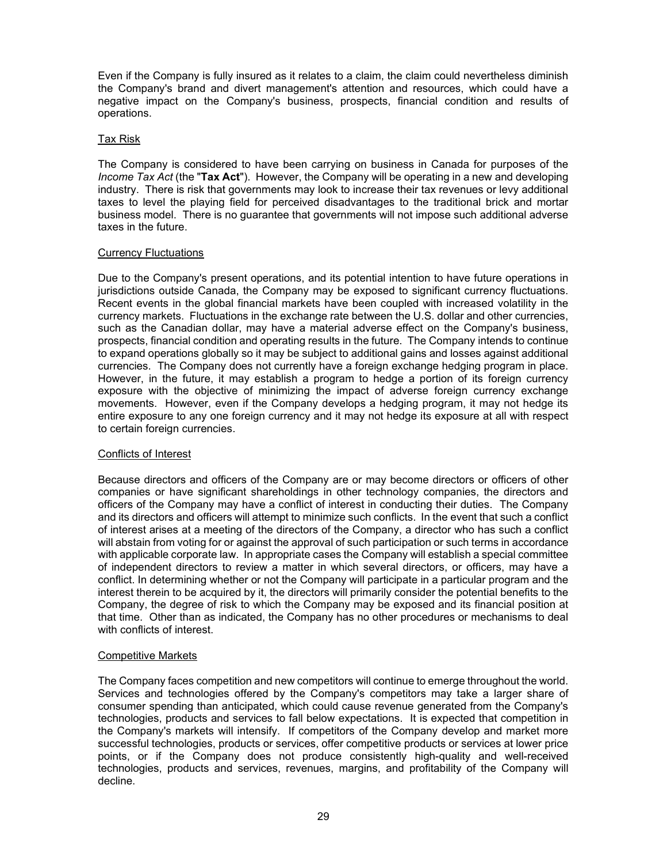Even if the Company is fully insured as it relates to a claim, the claim could nevertheless diminish the Company's brand and divert management's attention and resources, which could have a negative impact on the Company's business, prospects, financial condition and results of operations.

## Tax Risk

The Company is considered to have been carrying on business in Canada for purposes of the *Income Tax Act* (the "**Tax Act**"). However, the Company will be operating in a new and developing industry. There is risk that governments may look to increase their tax revenues or levy additional taxes to level the playing field for perceived disadvantages to the traditional brick and mortar business model. There is no guarantee that governments will not impose such additional adverse taxes in the future.

## Currency Fluctuations

Due to the Company's present operations, and its potential intention to have future operations in jurisdictions outside Canada, the Company may be exposed to significant currency fluctuations. Recent events in the global financial markets have been coupled with increased volatility in the currency markets. Fluctuations in the exchange rate between the U.S. dollar and other currencies, such as the Canadian dollar, may have a material adverse effect on the Company's business, prospects, financial condition and operating results in the future. The Company intends to continue to expand operations globally so it may be subject to additional gains and losses against additional currencies. The Company does not currently have a foreign exchange hedging program in place. However, in the future, it may establish a program to hedge a portion of its foreign currency exposure with the objective of minimizing the impact of adverse foreign currency exchange movements. However, even if the Company develops a hedging program, it may not hedge its entire exposure to any one foreign currency and it may not hedge its exposure at all with respect to certain foreign currencies.

#### Conflicts of Interest

Because directors and officers of the Company are or may become directors or officers of other companies or have significant shareholdings in other technology companies, the directors and officers of the Company may have a conflict of interest in conducting their duties. The Company and its directors and officers will attempt to minimize such conflicts. In the event that such a conflict of interest arises at a meeting of the directors of the Company, a director who has such a conflict will abstain from voting for or against the approval of such participation or such terms in accordance with applicable corporate law. In appropriate cases the Company will establish a special committee of independent directors to review a matter in which several directors, or officers, may have a conflict. In determining whether or not the Company will participate in a particular program and the interest therein to be acquired by it, the directors will primarily consider the potential benefits to the Company, the degree of risk to which the Company may be exposed and its financial position at that time. Other than as indicated, the Company has no other procedures or mechanisms to deal with conflicts of interest.

#### Competitive Markets

The Company faces competition and new competitors will continue to emerge throughout the world. Services and technologies offered by the Company's competitors may take a larger share of consumer spending than anticipated, which could cause revenue generated from the Company's technologies, products and services to fall below expectations. It is expected that competition in the Company's markets will intensify. If competitors of the Company develop and market more successful technologies, products or services, offer competitive products or services at lower price points, or if the Company does not produce consistently high-quality and well-received technologies, products and services, revenues, margins, and profitability of the Company will decline.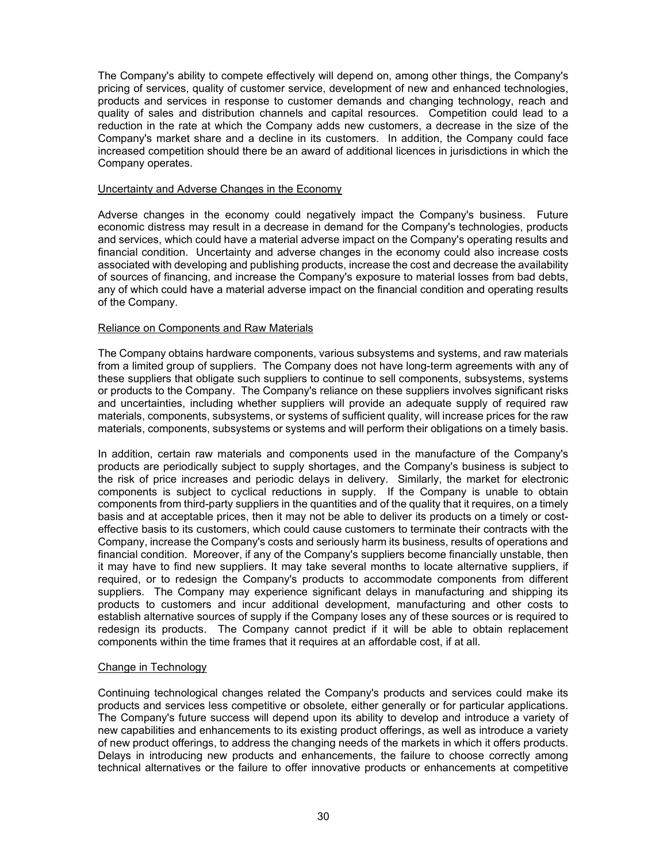The Company's ability to compete effectively will depend on, among other things, the Company's pricing of services, quality of customer service, development of new and enhanced technologies, products and services in response to customer demands and changing technology, reach and quality of sales and distribution channels and capital resources. Competition could lead to a reduction in the rate at which the Company adds new customers, a decrease in the size of the Company's market share and a decline in its customers. In addition, the Company could face increased competition should there be an award of additional licences in jurisdictions in which the Company operates.

#### Uncertainty and Adverse Changes in the Economy

Adverse changes in the economy could negatively impact the Company's business. Future economic distress may result in a decrease in demand for the Company's technologies, products and services, which could have a material adverse impact on the Company's operating results and financial condition. Uncertainty and adverse changes in the economy could also increase costs associated with developing and publishing products, increase the cost and decrease the availability of sources of financing, and increase the Company's exposure to material losses from bad debts, any of which could have a material adverse impact on the financial condition and operating results of the Company.

#### Reliance on Components and Raw Materials

The Company obtains hardware components, various subsystems and systems, and raw materials from a limited group of suppliers. The Company does not have long-term agreements with any of these suppliers that obligate such suppliers to continue to sell components, subsystems, systems or products to the Company. The Company's reliance on these suppliers involves significant risks and uncertainties, including whether suppliers will provide an adequate supply of required raw materials, components, subsystems, or systems of sufficient quality, will increase prices for the raw materials, components, subsystems or systems and will perform their obligations on a timely basis.

In addition, certain raw materials and components used in the manufacture of the Company's products are periodically subject to supply shortages, and the Company's business is subject to the risk of price increases and periodic delays in delivery. Similarly, the market for electronic components is subject to cyclical reductions in supply. If the Company is unable to obtain components from third-party suppliers in the quantities and of the quality that it requires, on a timely basis and at acceptable prices, then it may not be able to deliver its products on a timely or costeffective basis to its customers, which could cause customers to terminate their contracts with the Company, increase the Company's costs and seriously harm its business, results of operations and financial condition. Moreover, if any of the Company's suppliers become financially unstable, then it may have to find new suppliers. It may take several months to locate alternative suppliers, if required, or to redesign the Company's products to accommodate components from different suppliers. The Company may experience significant delays in manufacturing and shipping its products to customers and incur additional development, manufacturing and other costs to establish alternative sources of supply if the Company loses any of these sources or is required to redesign its products. The Company cannot predict if it will be able to obtain replacement components within the time frames that it requires at an affordable cost, if at all.

#### Change in Technology

Continuing technological changes related the Company's products and services could make its products and services less competitive or obsolete, either generally or for particular applications. The Company's future success will depend upon its ability to develop and introduce a variety of new capabilities and enhancements to its existing product offerings, as well as introduce a variety of new product offerings, to address the changing needs of the markets in which it offers products. Delays in introducing new products and enhancements, the failure to choose correctly among technical alternatives or the failure to offer innovative products or enhancements at competitive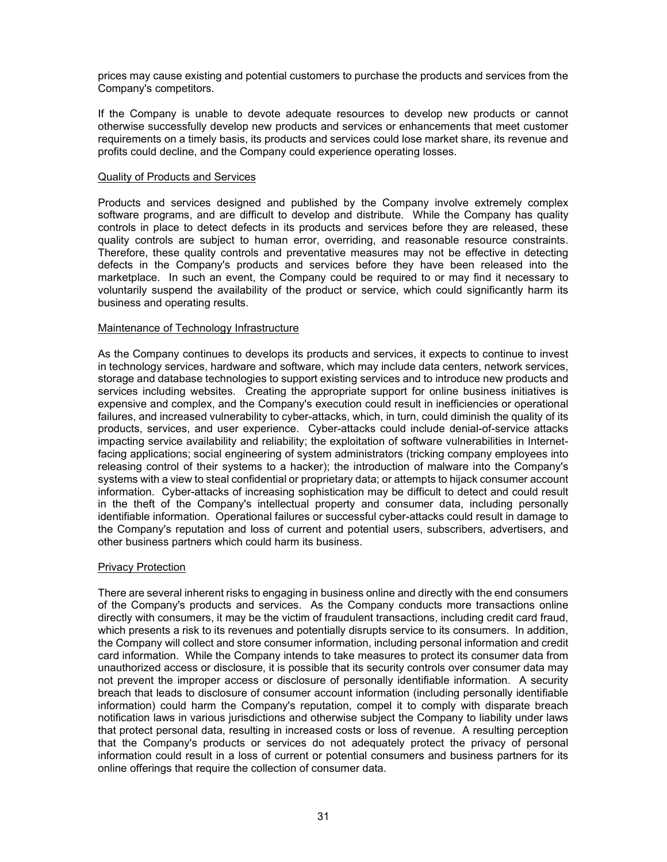prices may cause existing and potential customers to purchase the products and services from the Company's competitors.

If the Company is unable to devote adequate resources to develop new products or cannot otherwise successfully develop new products and services or enhancements that meet customer requirements on a timely basis, its products and services could lose market share, its revenue and profits could decline, and the Company could experience operating losses.

#### Quality of Products and Services

Products and services designed and published by the Company involve extremely complex software programs, and are difficult to develop and distribute. While the Company has quality controls in place to detect defects in its products and services before they are released, these quality controls are subject to human error, overriding, and reasonable resource constraints. Therefore, these quality controls and preventative measures may not be effective in detecting defects in the Company's products and services before they have been released into the marketplace. In such an event, the Company could be required to or may find it necessary to voluntarily suspend the availability of the product or service, which could significantly harm its business and operating results.

#### Maintenance of Technology Infrastructure

As the Company continues to develops its products and services, it expects to continue to invest in technology services, hardware and software, which may include data centers, network services, storage and database technologies to support existing services and to introduce new products and services including websites. Creating the appropriate support for online business initiatives is expensive and complex, and the Company's execution could result in inefficiencies or operational failures, and increased vulnerability to cyber-attacks, which, in turn, could diminish the quality of its products, services, and user experience. Cyber-attacks could include denial-of-service attacks impacting service availability and reliability; the exploitation of software vulnerabilities in Internetfacing applications; social engineering of system administrators (tricking company employees into releasing control of their systems to a hacker); the introduction of malware into the Company's systems with a view to steal confidential or proprietary data; or attempts to hijack consumer account information. Cyber-attacks of increasing sophistication may be difficult to detect and could result in the theft of the Company's intellectual property and consumer data, including personally identifiable information. Operational failures or successful cyber-attacks could result in damage to the Company's reputation and loss of current and potential users, subscribers, advertisers, and other business partners which could harm its business.

## **Privacy Protection**

There are several inherent risks to engaging in business online and directly with the end consumers of the Company's products and services. As the Company conducts more transactions online directly with consumers, it may be the victim of fraudulent transactions, including credit card fraud, which presents a risk to its revenues and potentially disrupts service to its consumers. In addition, the Company will collect and store consumer information, including personal information and credit card information. While the Company intends to take measures to protect its consumer data from unauthorized access or disclosure, it is possible that its security controls over consumer data may not prevent the improper access or disclosure of personally identifiable information. A security breach that leads to disclosure of consumer account information (including personally identifiable information) could harm the Company's reputation, compel it to comply with disparate breach notification laws in various jurisdictions and otherwise subject the Company to liability under laws that protect personal data, resulting in increased costs or loss of revenue. A resulting perception that the Company's products or services do not adequately protect the privacy of personal information could result in a loss of current or potential consumers and business partners for its online offerings that require the collection of consumer data.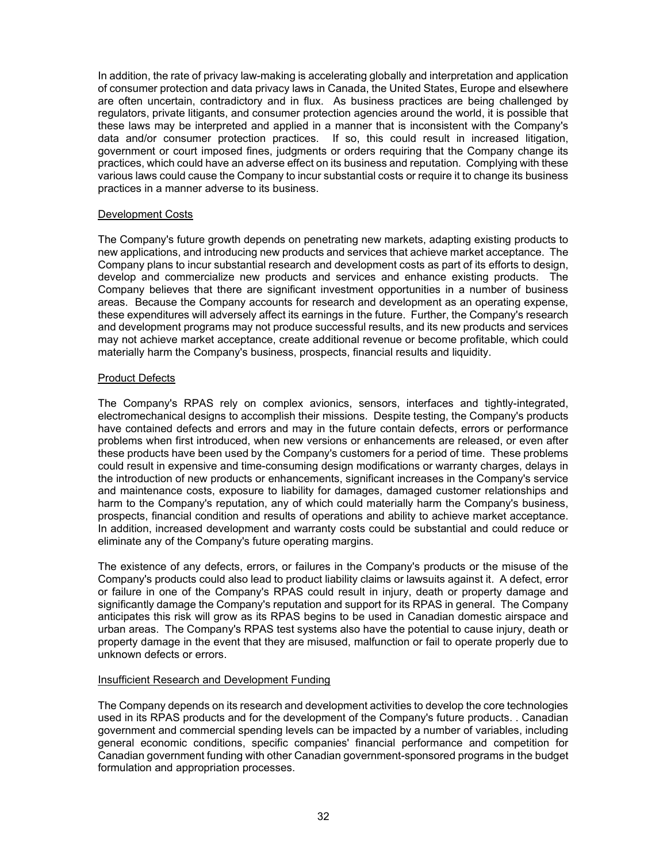In addition, the rate of privacy law-making is accelerating globally and interpretation and application of consumer protection and data privacy laws in Canada, the United States, Europe and elsewhere are often uncertain, contradictory and in flux. As business practices are being challenged by regulators, private litigants, and consumer protection agencies around the world, it is possible that these laws may be interpreted and applied in a manner that is inconsistent with the Company's data and/or consumer protection practices. If so, this could result in increased litigation, government or court imposed fines, judgments or orders requiring that the Company change its practices, which could have an adverse effect on its business and reputation. Complying with these various laws could cause the Company to incur substantial costs or require it to change its business practices in a manner adverse to its business.

## Development Costs

The Company's future growth depends on penetrating new markets, adapting existing products to new applications, and introducing new products and services that achieve market acceptance. The Company plans to incur substantial research and development costs as part of its efforts to design, develop and commercialize new products and services and enhance existing products. The Company believes that there are significant investment opportunities in a number of business areas. Because the Company accounts for research and development as an operating expense, these expenditures will adversely affect its earnings in the future. Further, the Company's research and development programs may not produce successful results, and its new products and services may not achieve market acceptance, create additional revenue or become profitable, which could materially harm the Company's business, prospects, financial results and liquidity.

#### Product Defects

The Company's RPAS rely on complex avionics, sensors, interfaces and tightly-integrated, electromechanical designs to accomplish their missions. Despite testing, the Company's products have contained defects and errors and may in the future contain defects, errors or performance problems when first introduced, when new versions or enhancements are released, or even after these products have been used by the Company's customers for a period of time. These problems could result in expensive and time-consuming design modifications or warranty charges, delays in the introduction of new products or enhancements, significant increases in the Company's service and maintenance costs, exposure to liability for damages, damaged customer relationships and harm to the Company's reputation, any of which could materially harm the Company's business, prospects, financial condition and results of operations and ability to achieve market acceptance. In addition, increased development and warranty costs could be substantial and could reduce or eliminate any of the Company's future operating margins.

The existence of any defects, errors, or failures in the Company's products or the misuse of the Company's products could also lead to product liability claims or lawsuits against it. A defect, error or failure in one of the Company's RPAS could result in injury, death or property damage and significantly damage the Company's reputation and support for its RPAS in general. The Company anticipates this risk will grow as its RPAS begins to be used in Canadian domestic airspace and urban areas. The Company's RPAS test systems also have the potential to cause injury, death or property damage in the event that they are misused, malfunction or fail to operate properly due to unknown defects or errors.

#### Insufficient Research and Development Funding

The Company depends on its research and development activities to develop the core technologies used in its RPAS products and for the development of the Company's future products. . Canadian government and commercial spending levels can be impacted by a number of variables, including general economic conditions, specific companies' financial performance and competition for Canadian government funding with other Canadian government-sponsored programs in the budget formulation and appropriation processes.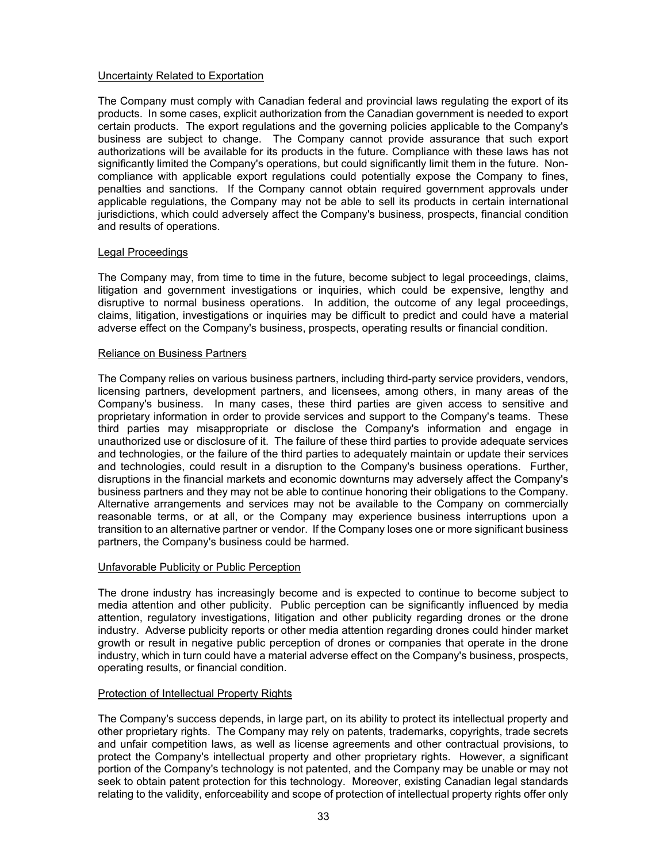#### Uncertainty Related to Exportation

The Company must comply with Canadian federal and provincial laws regulating the export of its products. In some cases, explicit authorization from the Canadian government is needed to export certain products. The export regulations and the governing policies applicable to the Company's business are subject to change. The Company cannot provide assurance that such export authorizations will be available for its products in the future. Compliance with these laws has not significantly limited the Company's operations, but could significantly limit them in the future. Noncompliance with applicable export regulations could potentially expose the Company to fines, penalties and sanctions. If the Company cannot obtain required government approvals under applicable regulations, the Company may not be able to sell its products in certain international jurisdictions, which could adversely affect the Company's business, prospects, financial condition and results of operations.

#### Legal Proceedings

The Company may, from time to time in the future, become subject to legal proceedings, claims, litigation and government investigations or inquiries, which could be expensive, lengthy and disruptive to normal business operations. In addition, the outcome of any legal proceedings, claims, litigation, investigations or inquiries may be difficult to predict and could have a material adverse effect on the Company's business, prospects, operating results or financial condition.

#### Reliance on Business Partners

The Company relies on various business partners, including third-party service providers, vendors, licensing partners, development partners, and licensees, among others, in many areas of the Company's business. In many cases, these third parties are given access to sensitive and proprietary information in order to provide services and support to the Company's teams. These third parties may misappropriate or disclose the Company's information and engage in unauthorized use or disclosure of it. The failure of these third parties to provide adequate services and technologies, or the failure of the third parties to adequately maintain or update their services and technologies, could result in a disruption to the Company's business operations. Further, disruptions in the financial markets and economic downturns may adversely affect the Company's business partners and they may not be able to continue honoring their obligations to the Company. Alternative arrangements and services may not be available to the Company on commercially reasonable terms, or at all, or the Company may experience business interruptions upon a transition to an alternative partner or vendor. If the Company loses one or more significant business partners, the Company's business could be harmed.

#### Unfavorable Publicity or Public Perception

The drone industry has increasingly become and is expected to continue to become subject to media attention and other publicity. Public perception can be significantly influenced by media attention, regulatory investigations, litigation and other publicity regarding drones or the drone industry. Adverse publicity reports or other media attention regarding drones could hinder market growth or result in negative public perception of drones or companies that operate in the drone industry, which in turn could have a material adverse effect on the Company's business, prospects, operating results, or financial condition.

#### Protection of Intellectual Property Rights

The Company's success depends, in large part, on its ability to protect its intellectual property and other proprietary rights. The Company may rely on patents, trademarks, copyrights, trade secrets and unfair competition laws, as well as license agreements and other contractual provisions, to protect the Company's intellectual property and other proprietary rights. However, a significant portion of the Company's technology is not patented, and the Company may be unable or may not seek to obtain patent protection for this technology. Moreover, existing Canadian legal standards relating to the validity, enforceability and scope of protection of intellectual property rights offer only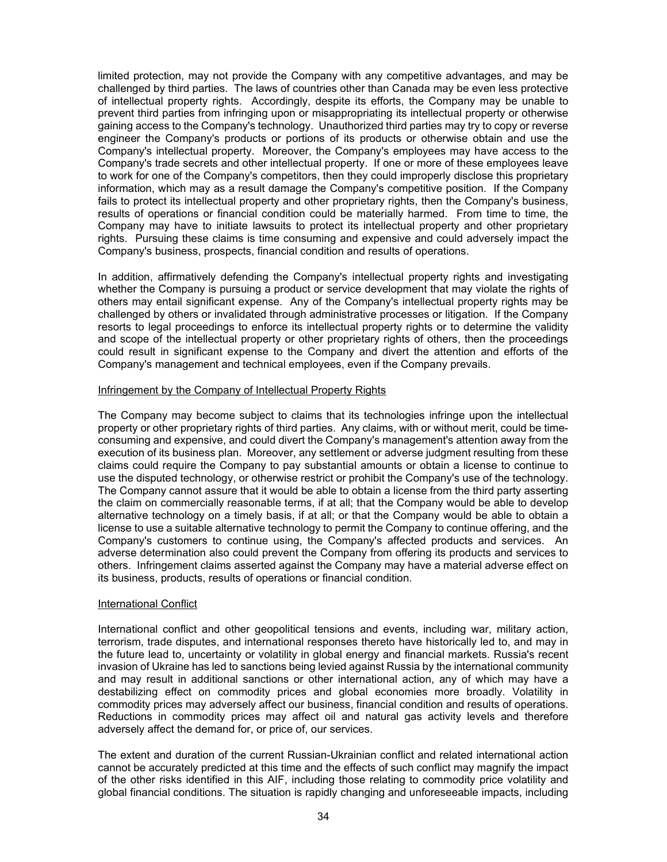limited protection, may not provide the Company with any competitive advantages, and may be challenged by third parties. The laws of countries other than Canada may be even less protective of intellectual property rights. Accordingly, despite its efforts, the Company may be unable to prevent third parties from infringing upon or misappropriating its intellectual property or otherwise gaining access to the Company's technology. Unauthorized third parties may try to copy or reverse engineer the Company's products or portions of its products or otherwise obtain and use the Company's intellectual property. Moreover, the Company's employees may have access to the Company's trade secrets and other intellectual property. If one or more of these employees leave to work for one of the Company's competitors, then they could improperly disclose this proprietary information, which may as a result damage the Company's competitive position. If the Company fails to protect its intellectual property and other proprietary rights, then the Company's business, results of operations or financial condition could be materially harmed. From time to time, the Company may have to initiate lawsuits to protect its intellectual property and other proprietary rights. Pursuing these claims is time consuming and expensive and could adversely impact the Company's business, prospects, financial condition and results of operations.

In addition, affirmatively defending the Company's intellectual property rights and investigating whether the Company is pursuing a product or service development that may violate the rights of others may entail significant expense. Any of the Company's intellectual property rights may be challenged by others or invalidated through administrative processes or litigation. If the Company resorts to legal proceedings to enforce its intellectual property rights or to determine the validity and scope of the intellectual property or other proprietary rights of others, then the proceedings could result in significant expense to the Company and divert the attention and efforts of the Company's management and technical employees, even if the Company prevails.

## Infringement by the Company of Intellectual Property Rights

The Company may become subject to claims that its technologies infringe upon the intellectual property or other proprietary rights of third parties. Any claims, with or without merit, could be timeconsuming and expensive, and could divert the Company's management's attention away from the execution of its business plan. Moreover, any settlement or adverse judgment resulting from these claims could require the Company to pay substantial amounts or obtain a license to continue to use the disputed technology, or otherwise restrict or prohibit the Company's use of the technology. The Company cannot assure that it would be able to obtain a license from the third party asserting the claim on commercially reasonable terms, if at all; that the Company would be able to develop alternative technology on a timely basis, if at all; or that the Company would be able to obtain a license to use a suitable alternative technology to permit the Company to continue offering, and the Company's customers to continue using, the Company's affected products and services. An adverse determination also could prevent the Company from offering its products and services to others. Infringement claims asserted against the Company may have a material adverse effect on its business, products, results of operations or financial condition.

#### International Conflict

International conflict and other geopolitical tensions and events, including war, military action, terrorism, trade disputes, and international responses thereto have historically led to, and may in the future lead to, uncertainty or volatility in global energy and financial markets. Russia's recent invasion of Ukraine has led to sanctions being levied against Russia by the international community and may result in additional sanctions or other international action, any of which may have a destabilizing effect on commodity prices and global economies more broadly. Volatility in commodity prices may adversely affect our business, financial condition and results of operations. Reductions in commodity prices may affect oil and natural gas activity levels and therefore adversely affect the demand for, or price of, our services.

The extent and duration of the current Russian-Ukrainian conflict and related international action cannot be accurately predicted at this time and the effects of such conflict may magnify the impact of the other risks identified in this AIF, including those relating to commodity price volatility and global financial conditions. The situation is rapidly changing and unforeseeable impacts, including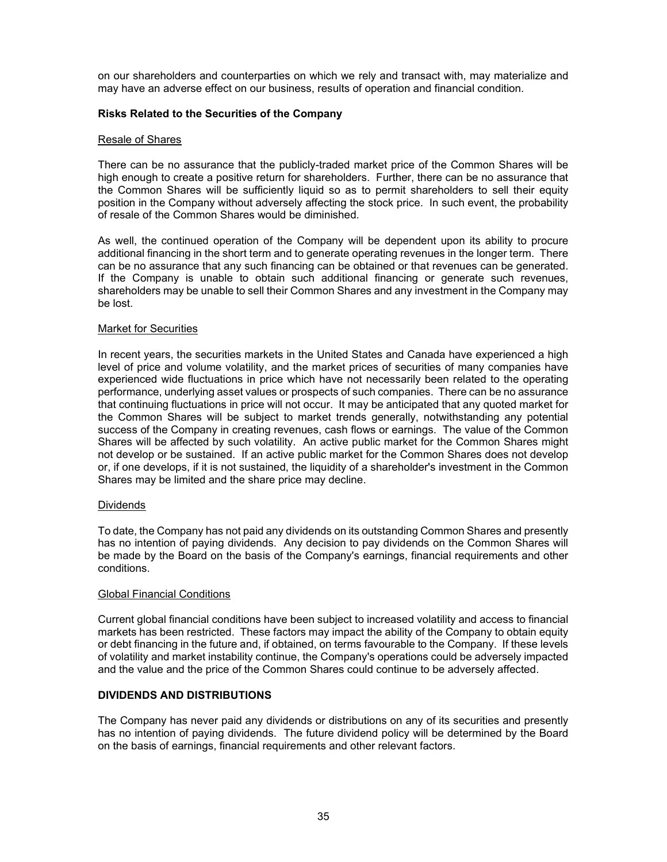on our shareholders and counterparties on which we rely and transact with, may materialize and may have an adverse effect on our business, results of operation and financial condition.

#### **Risks Related to the Securities of the Company**

#### Resale of Shares

There can be no assurance that the publicly-traded market price of the Common Shares will be high enough to create a positive return for shareholders. Further, there can be no assurance that the Common Shares will be sufficiently liquid so as to permit shareholders to sell their equity position in the Company without adversely affecting the stock price. In such event, the probability of resale of the Common Shares would be diminished.

As well, the continued operation of the Company will be dependent upon its ability to procure additional financing in the short term and to generate operating revenues in the longer term. There can be no assurance that any such financing can be obtained or that revenues can be generated. If the Company is unable to obtain such additional financing or generate such revenues, shareholders may be unable to sell their Common Shares and any investment in the Company may be lost.

#### Market for Securities

In recent years, the securities markets in the United States and Canada have experienced a high level of price and volume volatility, and the market prices of securities of many companies have experienced wide fluctuations in price which have not necessarily been related to the operating performance, underlying asset values or prospects of such companies. There can be no assurance that continuing fluctuations in price will not occur. It may be anticipated that any quoted market for the Common Shares will be subject to market trends generally, notwithstanding any potential success of the Company in creating revenues, cash flows or earnings. The value of the Common Shares will be affected by such volatility. An active public market for the Common Shares might not develop or be sustained. If an active public market for the Common Shares does not develop or, if one develops, if it is not sustained, the liquidity of a shareholder's investment in the Common Shares may be limited and the share price may decline.

#### Dividends

To date, the Company has not paid any dividends on its outstanding Common Shares and presently has no intention of paying dividends. Any decision to pay dividends on the Common Shares will be made by the Board on the basis of the Company's earnings, financial requirements and other conditions.

#### Global Financial Conditions

Current global financial conditions have been subject to increased volatility and access to financial markets has been restricted. These factors may impact the ability of the Company to obtain equity or debt financing in the future and, if obtained, on terms favourable to the Company. If these levels of volatility and market instability continue, the Company's operations could be adversely impacted and the value and the price of the Common Shares could continue to be adversely affected.

## **DIVIDENDS AND DISTRIBUTIONS**

The Company has never paid any dividends or distributions on any of its securities and presently has no intention of paying dividends. The future dividend policy will be determined by the Board on the basis of earnings, financial requirements and other relevant factors.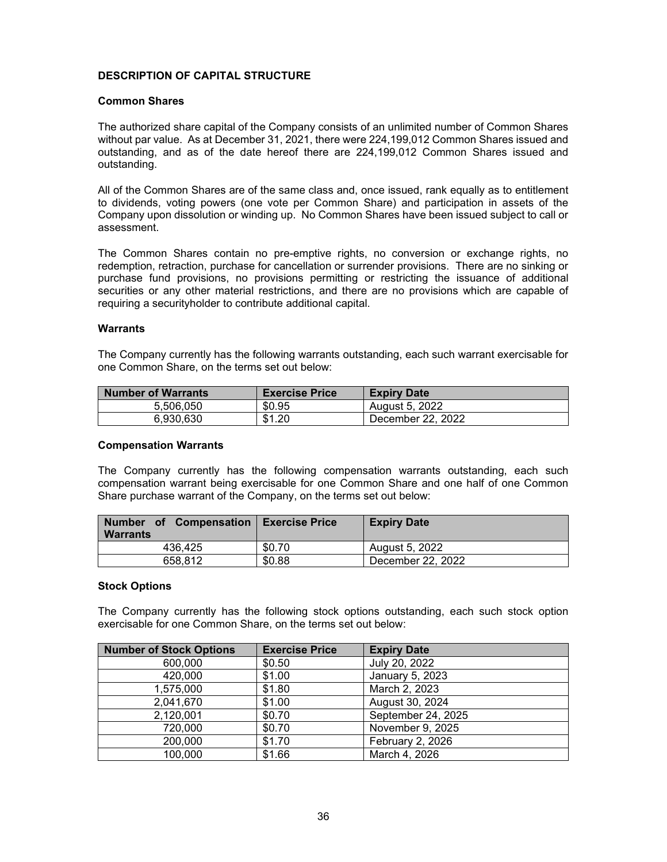## **DESCRIPTION OF CAPITAL STRUCTURE**

## **Common Shares**

The authorized share capital of the Company consists of an unlimited number of Common Shares without par value. As at December 31, 2021, there were 224,199,012 Common Shares issued and outstanding, and as of the date hereof there are 224,199,012 Common Shares issued and outstanding.

All of the Common Shares are of the same class and, once issued, rank equally as to entitlement to dividends, voting powers (one vote per Common Share) and participation in assets of the Company upon dissolution or winding up. No Common Shares have been issued subject to call or assessment.

The Common Shares contain no pre-emptive rights, no conversion or exchange rights, no redemption, retraction, purchase for cancellation or surrender provisions. There are no sinking or purchase fund provisions, no provisions permitting or restricting the issuance of additional securities or any other material restrictions, and there are no provisions which are capable of requiring a securityholder to contribute additional capital.

#### **Warrants**

The Company currently has the following warrants outstanding, each such warrant exercisable for one Common Share, on the terms set out below:

| <b>Number of Warrants</b> | <b>Exercise Price</b> | <b>Expiry Date</b>    |
|---------------------------|-----------------------|-----------------------|
| 5.506.050                 | \$0.95                | <b>August 5, 2022</b> |
| 6.930.630                 | \$1.20                | December 22, 2022     |

#### **Compensation Warrants**

The Company currently has the following compensation warrants outstanding, each such compensation warrant being exercisable for one Common Share and one half of one Common Share purchase warrant of the Company, on the terms set out below:

| Number of Compensation   Exercise Price<br><b>Warrants</b> |        | <b>Expiry Date</b> |
|------------------------------------------------------------|--------|--------------------|
| 436.425                                                    | \$0.70 | August 5, 2022     |
| 658.812                                                    | \$0.88 | December 22, 2022  |

#### **Stock Options**

The Company currently has the following stock options outstanding, each such stock option exercisable for one Common Share, on the terms set out below:

| <b>Number of Stock Options</b> | <b>Exercise Price</b> | <b>Expiry Date</b> |
|--------------------------------|-----------------------|--------------------|
| 600,000                        | \$0.50                | July 20, 2022      |
| 420,000                        | \$1.00                | January 5, 2023    |
| 1,575,000                      | \$1.80                | March 2, 2023      |
| 2,041,670                      | \$1.00                | August 30, 2024    |
| 2,120,001                      | \$0.70                | September 24, 2025 |
| 720,000                        | \$0.70                | November 9, 2025   |
| 200,000                        | \$1.70                | February 2, 2026   |
| 100,000                        | \$1.66                | March 4, 2026      |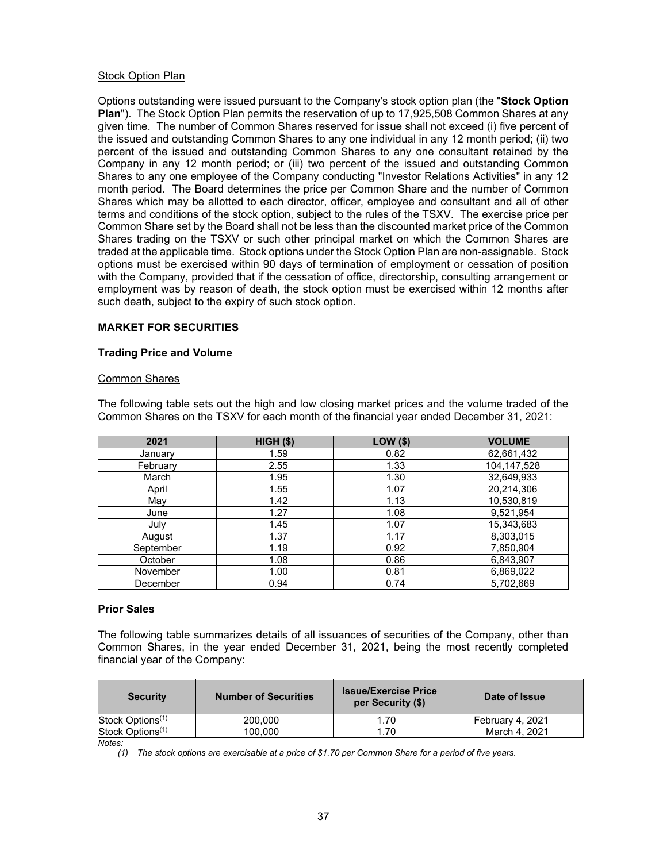#### Stock Option Plan

Options outstanding were issued pursuant to the Company's stock option plan (the "**Stock Option Plan**"). The Stock Option Plan permits the reservation of up to 17,925,508 Common Shares at any given time. The number of Common Shares reserved for issue shall not exceed (i) five percent of the issued and outstanding Common Shares to any one individual in any 12 month period; (ii) two percent of the issued and outstanding Common Shares to any one consultant retained by the Company in any 12 month period; or (iii) two percent of the issued and outstanding Common Shares to any one employee of the Company conducting "Investor Relations Activities" in any 12 month period. The Board determines the price per Common Share and the number of Common Shares which may be allotted to each director, officer, employee and consultant and all of other terms and conditions of the stock option, subject to the rules of the TSXV. The exercise price per Common Share set by the Board shall not be less than the discounted market price of the Common Shares trading on the TSXV or such other principal market on which the Common Shares are traded at the applicable time. Stock options under the Stock Option Plan are non-assignable. Stock options must be exercised within 90 days of termination of employment or cessation of position with the Company, provided that if the cessation of office, directorship, consulting arrangement or employment was by reason of death, the stock option must be exercised within 12 months after such death, subject to the expiry of such stock option.

#### **MARKET FOR SECURITIES**

#### **Trading Price and Volume**

#### Common Shares

| 2021      | $HIGH$ (\$) | <b>LOW (\$)</b> | <b>VOLUME</b> |
|-----------|-------------|-----------------|---------------|
| January   | 1.59        | 0.82            | 62,661,432    |
| February  | 2.55        | 1.33            | 104,147,528   |
| March     | 1.95        | 1.30            | 32,649,933    |
| April     | 1.55        | 1.07            | 20,214,306    |
| May       | 1.42        | 1.13            | 10,530,819    |
| June      | 1.27        | 1.08            | 9,521,954     |
| July      | 1.45        | 1.07            | 15,343,683    |
| August    | 1.37        | 1.17            | 8,303,015     |
| September | 1.19        | 0.92            | 7,850,904     |
| October   | 1.08        | 0.86            | 6,843,907     |
| November  | 1.00        | 0.81            | 6,869,022     |
| December  | 0.94        | 0.74            | 5,702,669     |

The following table sets out the high and low closing market prices and the volume traded of the Common Shares on the TSXV for each month of the financial year ended December 31, 2021:

#### **Prior Sales**

The following table summarizes details of all issuances of securities of the Company, other than Common Shares, in the year ended December 31, 2021, being the most recently completed financial year of the Company:

| <b>Security</b>              | <b>Number of Securities</b> | <b>Issue/Exercise Price</b><br>per Security (\$) | Date of Issue    |
|------------------------------|-----------------------------|--------------------------------------------------|------------------|
| Stock Options <sup>(1)</sup> | 200.000                     | 1.70                                             | February 4, 2021 |
| Stock Options <sup>(1)</sup> | 100.000                     | 1.70                                             | March 4, 2021    |
| $N1 - 4 - -$                 |                             |                                                  |                  |

*Notes:*

*(1) The stock options are exercisable at a price of \$1.70 per Common Share for a period of five years.*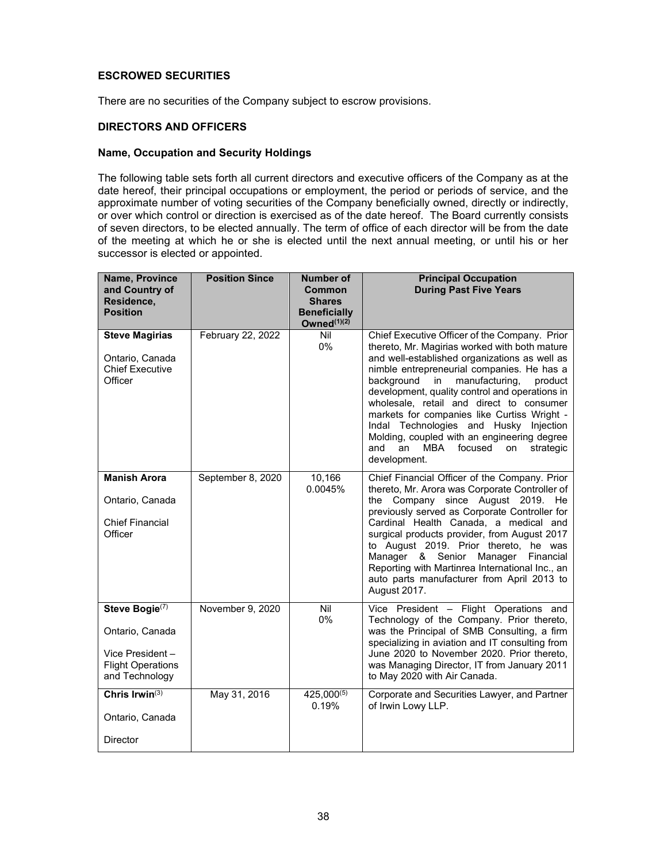## **ESCROWED SECURITIES**

There are no securities of the Company subject to escrow provisions.

## **DIRECTORS AND OFFICERS**

#### **Name, Occupation and Security Holdings**

The following table sets forth all current directors and executive officers of the Company as at the date hereof, their principal occupations or employment, the period or periods of service, and the approximate number of voting securities of the Company beneficially owned, directly or indirectly, or over which control or direction is exercised as of the date hereof. The Board currently consists of seven directors, to be elected annually. The term of office of each director will be from the date of the meeting at which he or she is elected until the next annual meeting, or until his or her successor is elected or appointed.

| Name, Province<br>and Country of<br>Residence,<br><b>Position</b>                                  | <b>Position Since</b> | <b>Number of</b><br>Common<br><b>Shares</b><br><b>Beneficially</b><br>Owned <sup>(1)(2)</sup> | <b>Principal Occupation</b><br><b>During Past Five Years</b>                                                                                                                                                                                                                                                                                                                                                                                                                                                                                           |
|----------------------------------------------------------------------------------------------------|-----------------------|-----------------------------------------------------------------------------------------------|--------------------------------------------------------------------------------------------------------------------------------------------------------------------------------------------------------------------------------------------------------------------------------------------------------------------------------------------------------------------------------------------------------------------------------------------------------------------------------------------------------------------------------------------------------|
| <b>Steve Magirias</b><br>Ontario, Canada<br><b>Chief Executive</b><br>Officer                      | February 22, 2022     | Nil<br>$0\%$                                                                                  | Chief Executive Officer of the Company. Prior<br>thereto, Mr. Magirias worked with both mature<br>and well-established organizations as well as<br>nimble entrepreneurial companies. He has a<br>background<br>manufacturing,<br>in<br>product<br>development, quality control and operations in<br>wholesale, retail and direct to consumer<br>markets for companies like Curtiss Wright -<br>Indal Technologies and Husky Injection<br>Molding, coupled with an engineering degree<br>focused<br>strategic<br>and<br>an<br>MBA<br>on<br>development. |
| <b>Manish Arora</b><br>Ontario, Canada<br><b>Chief Financial</b><br>Officer                        | September 8, 2020     | 10,166<br>0.0045%                                                                             | Chief Financial Officer of the Company. Prior<br>thereto, Mr. Arora was Corporate Controller of<br>Company since August 2019. He<br>the<br>previously served as Corporate Controller for<br>Cardinal Health Canada, a medical and<br>surgical products provider, from August 2017<br>to August 2019. Prior thereto, he was<br>Manager<br>& Senior<br>Manager<br>Financial<br>Reporting with Martinrea International Inc., an<br>auto parts manufacturer from April 2013 to<br>August 2017.                                                             |
| Steve Bogie(7)<br>Ontario, Canada<br>Vice President-<br><b>Flight Operations</b><br>and Technology | November 9, 2020      | Nil<br>0%                                                                                     | Vice President - Flight Operations and<br>Technology of the Company. Prior thereto,<br>was the Principal of SMB Consulting, a firm<br>specializing in aviation and IT consulting from<br>June 2020 to November 2020. Prior thereto,<br>was Managing Director, IT from January 2011<br>to May 2020 with Air Canada.                                                                                                                                                                                                                                     |
| Chris Irwin $(3)$<br>Ontario, Canada                                                               | May 31, 2016          | $425,000^{(5)}$<br>0.19%                                                                      | Corporate and Securities Lawyer, and Partner<br>of Irwin Lowy LLP.                                                                                                                                                                                                                                                                                                                                                                                                                                                                                     |
| <b>Director</b>                                                                                    |                       |                                                                                               |                                                                                                                                                                                                                                                                                                                                                                                                                                                                                                                                                        |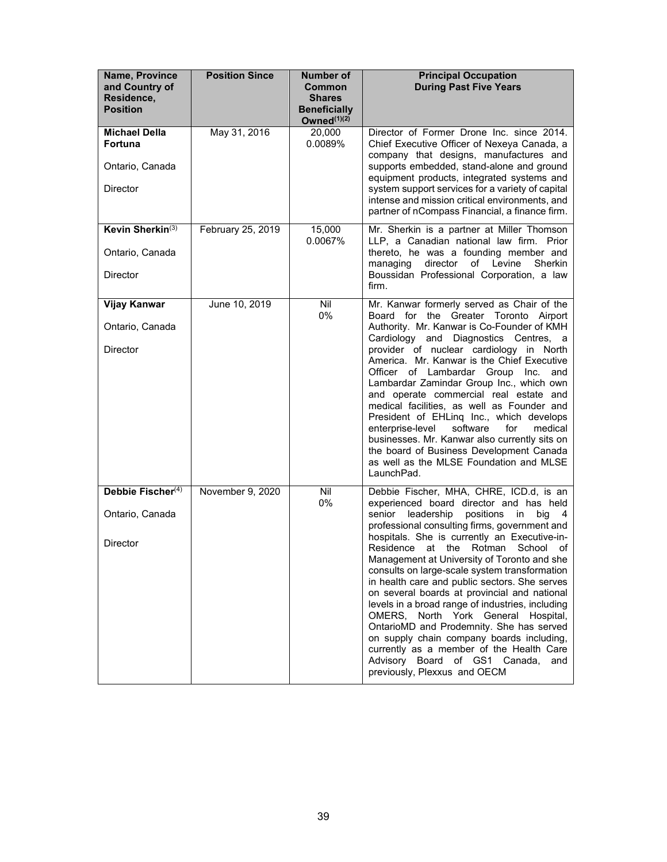| Name, Province<br>and Country of<br>Residence,<br><b>Position</b> | <b>Position Since</b> | <b>Number of</b><br>Common<br><b>Shares</b><br><b>Beneficially</b><br>Owned <sup>(1)(2)</sup> | <b>Principal Occupation</b><br><b>During Past Five Years</b>                                                                                                                                                                                                                                                                                                                                                                                                                                                                                                                                  |
|-------------------------------------------------------------------|-----------------------|-----------------------------------------------------------------------------------------------|-----------------------------------------------------------------------------------------------------------------------------------------------------------------------------------------------------------------------------------------------------------------------------------------------------------------------------------------------------------------------------------------------------------------------------------------------------------------------------------------------------------------------------------------------------------------------------------------------|
| <b>Michael Della</b><br><b>Fortuna</b>                            | May 31, 2016          | 20,000<br>0.0089%                                                                             | Director of Former Drone Inc. since 2014.<br>Chief Executive Officer of Nexeya Canada, a<br>company that designs, manufactures and                                                                                                                                                                                                                                                                                                                                                                                                                                                            |
| Ontario, Canada                                                   |                       |                                                                                               | supports embedded, stand-alone and ground<br>equipment products, integrated systems and                                                                                                                                                                                                                                                                                                                                                                                                                                                                                                       |
| <b>Director</b>                                                   |                       |                                                                                               | system support services for a variety of capital<br>intense and mission critical environments, and<br>partner of nCompass Financial, a finance firm.                                                                                                                                                                                                                                                                                                                                                                                                                                          |
| Kevin Sherkin <sup>(3)</sup>                                      | February 25, 2019     | 15,000<br>0.0067%                                                                             | Mr. Sherkin is a partner at Miller Thomson<br>LLP, a Canadian national law firm. Prior                                                                                                                                                                                                                                                                                                                                                                                                                                                                                                        |
| Ontario, Canada                                                   |                       |                                                                                               | thereto, he was a founding member and<br>managing<br>director<br>of Levine<br>Sherkin                                                                                                                                                                                                                                                                                                                                                                                                                                                                                                         |
| <b>Director</b>                                                   |                       |                                                                                               | Boussidan Professional Corporation, a law<br>firm.                                                                                                                                                                                                                                                                                                                                                                                                                                                                                                                                            |
| <b>Vijay Kanwar</b>                                               | June 10, 2019         | Nil<br>0%                                                                                     | Mr. Kanwar formerly served as Chair of the<br>Board for the Greater Toronto Airport                                                                                                                                                                                                                                                                                                                                                                                                                                                                                                           |
| Ontario, Canada                                                   |                       |                                                                                               | Authority. Mr. Kanwar is Co-Founder of KMH                                                                                                                                                                                                                                                                                                                                                                                                                                                                                                                                                    |
| <b>Director</b>                                                   |                       |                                                                                               | Cardiology and Diagnostics Centres, a<br>provider of nuclear cardiology in North<br>America. Mr. Kanwar is the Chief Executive<br>Officer of Lambardar Group Inc.<br>and<br>Lambardar Zamindar Group Inc., which own<br>and operate commercial real estate and<br>medical facilities, as well as Founder and<br>President of EHLinq Inc., which develops<br>enterprise-level<br>software<br>for<br>medical<br>businesses. Mr. Kanwar also currently sits on<br>the board of Business Development Canada<br>as well as the MLSE Foundation and MLSE<br>LaunchPad.                              |
| Debbie Fischer <sup>(4)</sup>                                     | November 9, 2020      | Nil<br>0%                                                                                     | Debbie Fischer, MHA, CHRE, ICD.d, is an<br>experienced board director and has held                                                                                                                                                                                                                                                                                                                                                                                                                                                                                                            |
| Ontario, Canada                                                   |                       |                                                                                               | positions<br>senior<br>leadership<br>big<br>in<br>-4<br>professional consulting firms, government and                                                                                                                                                                                                                                                                                                                                                                                                                                                                                         |
| <b>Director</b>                                                   |                       |                                                                                               | hospitals. She is currently an Executive-in-<br>Residence at the Rotman<br>School of<br>Management at University of Toronto and she<br>consults on large-scale system transformation<br>in health care and public sectors. She serves<br>on several boards at provincial and national<br>levels in a broad range of industries, including<br>OMERS, North York General Hospital,<br>OntarioMD and Prodemnity. She has served<br>on supply chain company boards including,<br>currently as a member of the Health Care<br>Advisory Board of GS1 Canada,<br>and<br>previously, Plexxus and OECM |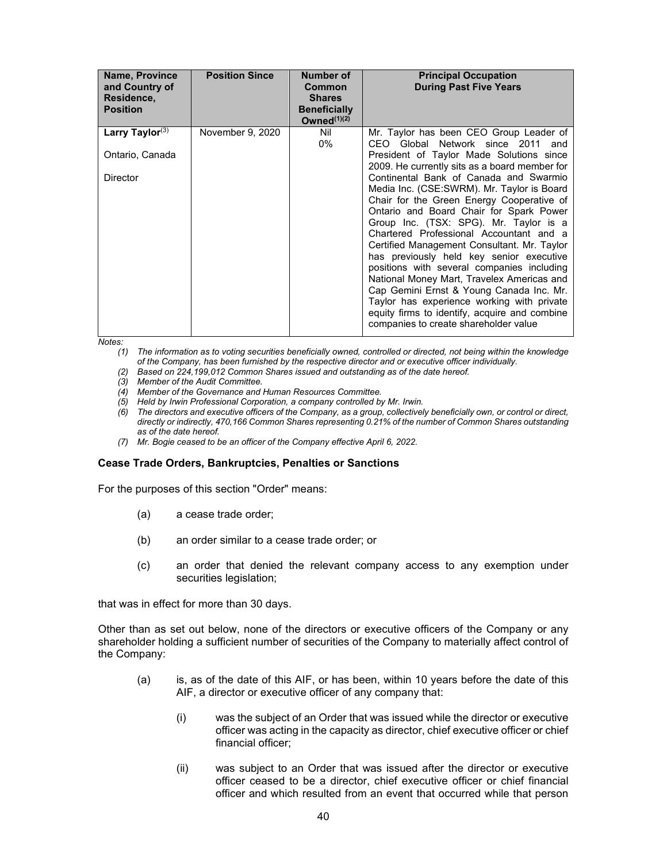| <b>Name, Province</b><br>and Country of<br>Residence,<br><b>Position</b> | <b>Position Since</b> | Number of<br>Common<br><b>Shares</b><br><b>Beneficially</b><br>Owned $(1)(2)$ | <b>Principal Occupation</b><br><b>During Past Five Years</b>                                                                                                                                                                                                                                                                                                                                                                                                                                                                                                                                                                                                                                                                    |
|--------------------------------------------------------------------------|-----------------------|-------------------------------------------------------------------------------|---------------------------------------------------------------------------------------------------------------------------------------------------------------------------------------------------------------------------------------------------------------------------------------------------------------------------------------------------------------------------------------------------------------------------------------------------------------------------------------------------------------------------------------------------------------------------------------------------------------------------------------------------------------------------------------------------------------------------------|
| Larry Taylor $(3)$<br>Ontario, Canada<br><b>Director</b>                 | November 9, 2020      | Nil<br>0%                                                                     | Mr. Taylor has been CEO Group Leader of<br>CEO Global Network since 2011 and<br>President of Taylor Made Solutions since<br>2009. He currently sits as a board member for<br>Continental Bank of Canada and Swarmio<br>Media Inc. (CSE:SWRM). Mr. Taylor is Board<br>Chair for the Green Energy Cooperative of<br>Ontario and Board Chair for Spark Power<br>Group Inc. (TSX: SPG). Mr. Taylor is a<br>Chartered Professional Accountant and a<br>Certified Management Consultant. Mr. Taylor<br>has previously held key senior executive<br>positions with several companies including<br>National Money Mart, Travelex Americas and<br>Cap Gemini Ernst & Young Canada Inc. Mr.<br>Taylor has experience working with private |
|                                                                          |                       |                                                                               | equity firms to identify, acquire and combine<br>companies to create shareholder value                                                                                                                                                                                                                                                                                                                                                                                                                                                                                                                                                                                                                                          |

*Notes:*

- *(1) The information as to voting securities beneficially owned, controlled or directed, not being within the knowledge of the Company, has been furnished by the respective director and or executive officer individually.*
- *(2) Based on 224,199,012 Common Shares issued and outstanding as of the date hereof.*
- *(3) Member of the Audit Committee.*
- *(4) Member of the Governance and Human Resources Committee.*
- *(5) Held by Irwin Professional Corporation, a company controlled by Mr. Irwin.*
- *(6) The directors and executive officers of the Company, as a group, collectively beneficially own, or control or direct, directly or indirectly, 470,166 Common Shares representing 0.21% of the number of Common Shares outstanding as of the date hereof.*
- *(7) Mr. Bogie ceased to be an officer of the Company effective April 6, 2022.*

#### **Cease Trade Orders, Bankruptcies, Penalties or Sanctions**

For the purposes of this section "Order" means:

- (a) a cease trade order;
- (b) an order similar to a cease trade order; or
- (c) an order that denied the relevant company access to any exemption under securities legislation;

that was in effect for more than 30 days.

Other than as set out below, none of the directors or executive officers of the Company or any shareholder holding a sufficient number of securities of the Company to materially affect control of the Company:

- (a) is, as of the date of this AIF, or has been, within 10 years before the date of this AIF, a director or executive officer of any company that:
	- (i) was the subject of an Order that was issued while the director or executive officer was acting in the capacity as director, chief executive officer or chief financial officer;
	- (ii) was subject to an Order that was issued after the director or executive officer ceased to be a director, chief executive officer or chief financial officer and which resulted from an event that occurred while that person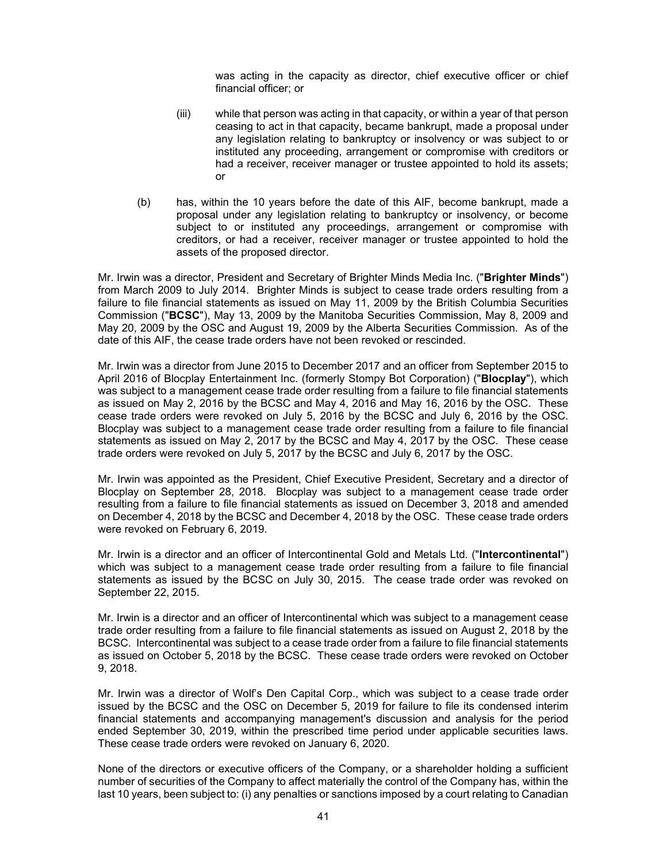was acting in the capacity as director, chief executive officer or chief financial officer; or

- (iii) while that person was acting in that capacity, or within a year of that person ceasing to act in that capacity, became bankrupt, made a proposal under any legislation relating to bankruptcy or insolvency or was subject to or instituted any proceeding, arrangement or compromise with creditors or had a receiver, receiver manager or trustee appointed to hold its assets; or
- (b) has, within the 10 years before the date of this AIF, become bankrupt, made a proposal under any legislation relating to bankruptcy or insolvency, or become subject to or instituted any proceedings, arrangement or compromise with creditors, or had a receiver, receiver manager or trustee appointed to hold the assets of the proposed director.

Mr. Irwin was a director, President and Secretary of Brighter Minds Media Inc. ("**Brighter Minds**") from March 2009 to July 2014. Brighter Minds is subject to cease trade orders resulting from a failure to file financial statements as issued on May 11, 2009 by the British Columbia Securities Commission ("**BCSC**"), May 13, 2009 by the Manitoba Securities Commission, May 8, 2009 and May 20, 2009 by the OSC and August 19, 2009 by the Alberta Securities Commission. As of the date of this AIF, the cease trade orders have not been revoked or rescinded.

Mr. Irwin was a director from June 2015 to December 2017 and an officer from September 2015 to April 2016 of Blocplay Entertainment Inc. (formerly Stompy Bot Corporation) ("**Blocplay**"), which was subject to a management cease trade order resulting from a failure to file financial statements as issued on May 2, 2016 by the BCSC and May 4, 2016 and May 16, 2016 by the OSC. These cease trade orders were revoked on July 5, 2016 by the BCSC and July 6, 2016 by the OSC. Blocplay was subject to a management cease trade order resulting from a failure to file financial statements as issued on May 2, 2017 by the BCSC and May 4, 2017 by the OSC. These cease trade orders were revoked on July 5, 2017 by the BCSC and July 6, 2017 by the OSC.

Mr. Irwin was appointed as the President, Chief Executive President, Secretary and a director of Blocplay on September 28, 2018. Blocplay was subject to a management cease trade order resulting from a failure to file financial statements as issued on December 3, 2018 and amended on December 4, 2018 by the BCSC and December 4, 2018 by the OSC. These cease trade orders were revoked on February 6, 2019.

Mr. Irwin is a director and an officer of Intercontinental Gold and Metals Ltd. ("**Intercontinental**") which was subject to a management cease trade order resulting from a failure to file financial statements as issued by the BCSC on July 30, 2015. The cease trade order was revoked on September 22, 2015.

Mr. Irwin is a director and an officer of Intercontinental which was subject to a management cease trade order resulting from a failure to file financial statements as issued on August 2, 2018 by the BCSC. Intercontinental was subject to a cease trade order from a failure to file financial statements as issued on October 5, 2018 by the BCSC. These cease trade orders were revoked on October 9, 2018.

Mr. Irwin was a director of Wolf's Den Capital Corp., which was subject to a cease trade order issued by the BCSC and the OSC on December 5, 2019 for failure to file its condensed interim financial statements and accompanying management's discussion and analysis for the period ended September 30, 2019, within the prescribed time period under applicable securities laws. These cease trade orders were revoked on January 6, 2020.

None of the directors or executive officers of the Company, or a shareholder holding a sufficient number of securities of the Company to affect materially the control of the Company has, within the last 10 years, been subject to: (i) any penalties or sanctions imposed by a court relating to Canadian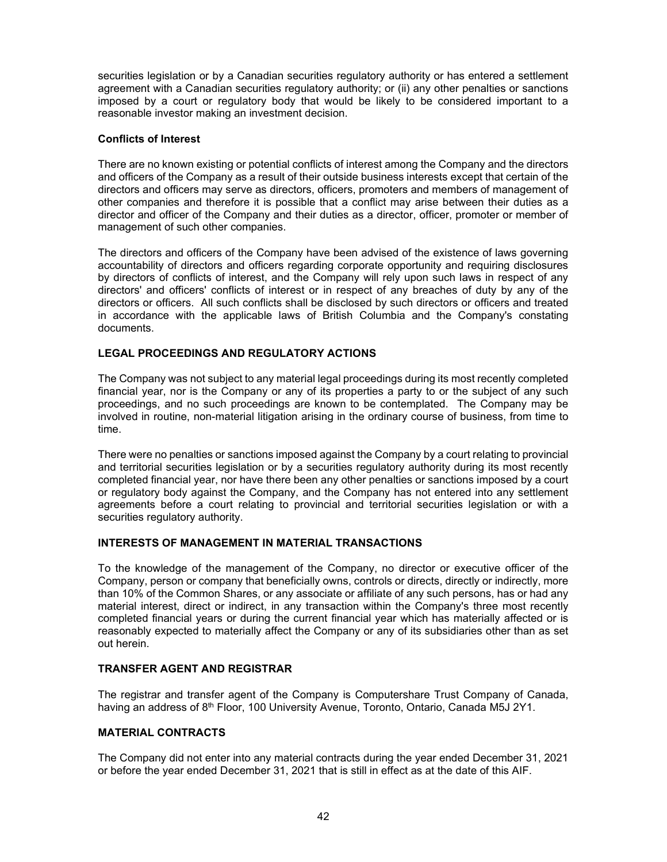securities legislation or by a Canadian securities regulatory authority or has entered a settlement agreement with a Canadian securities regulatory authority; or (ii) any other penalties or sanctions imposed by a court or regulatory body that would be likely to be considered important to a reasonable investor making an investment decision.

## **Conflicts of Interest**

There are no known existing or potential conflicts of interest among the Company and the directors and officers of the Company as a result of their outside business interests except that certain of the directors and officers may serve as directors, officers, promoters and members of management of other companies and therefore it is possible that a conflict may arise between their duties as a director and officer of the Company and their duties as a director, officer, promoter or member of management of such other companies.

The directors and officers of the Company have been advised of the existence of laws governing accountability of directors and officers regarding corporate opportunity and requiring disclosures by directors of conflicts of interest, and the Company will rely upon such laws in respect of any directors' and officers' conflicts of interest or in respect of any breaches of duty by any of the directors or officers. All such conflicts shall be disclosed by such directors or officers and treated in accordance with the applicable laws of British Columbia and the Company's constating documents.

## **LEGAL PROCEEDINGS AND REGULATORY ACTIONS**

The Company was not subject to any material legal proceedings during its most recently completed financial year, nor is the Company or any of its properties a party to or the subject of any such proceedings, and no such proceedings are known to be contemplated. The Company may be involved in routine, non-material litigation arising in the ordinary course of business, from time to time.

There were no penalties or sanctions imposed against the Company by a court relating to provincial and territorial securities legislation or by a securities regulatory authority during its most recently completed financial year, nor have there been any other penalties or sanctions imposed by a court or regulatory body against the Company, and the Company has not entered into any settlement agreements before a court relating to provincial and territorial securities legislation or with a securities regulatory authority.

#### **INTERESTS OF MANAGEMENT IN MATERIAL TRANSACTIONS**

To the knowledge of the management of the Company, no director or executive officer of the Company, person or company that beneficially owns, controls or directs, directly or indirectly, more than 10% of the Common Shares, or any associate or affiliate of any such persons, has or had any material interest, direct or indirect, in any transaction within the Company's three most recently completed financial years or during the current financial year which has materially affected or is reasonably expected to materially affect the Company or any of its subsidiaries other than as set out herein.

## **TRANSFER AGENT AND REGISTRAR**

The registrar and transfer agent of the Company is Computershare Trust Company of Canada, having an address of 8<sup>th</sup> Floor, 100 University Avenue, Toronto, Ontario, Canada M5J 2Y1.

## **MATERIAL CONTRACTS**

The Company did not enter into any material contracts during the year ended December 31, 2021 or before the year ended December 31, 2021 that is still in effect as at the date of this AIF.